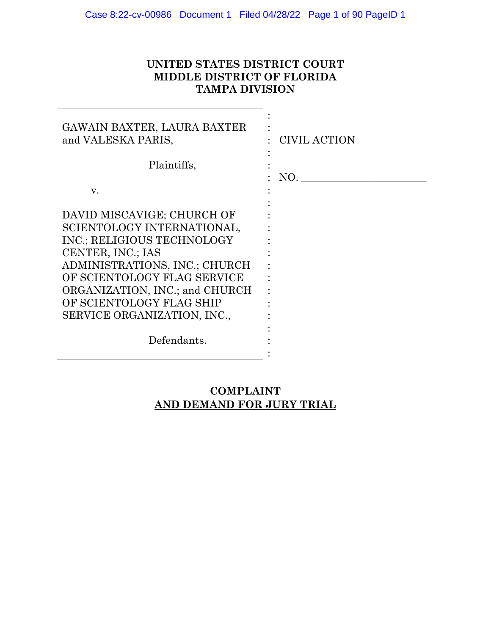## **UNITED STATES DISTRICT COURT MIDDLE DISTRICT OF FLORIDA TAMPA DIVISION**

:

| GAWAIN BAXTER, LAURA BAXTER<br>and VALESKA PARIS,                                                                                                                                                                                                                        | CIVIL ACTION |
|--------------------------------------------------------------------------------------------------------------------------------------------------------------------------------------------------------------------------------------------------------------------------|--------------|
| Plaintiffs,                                                                                                                                                                                                                                                              | NO.          |
| V.                                                                                                                                                                                                                                                                       |              |
| DAVID MISCAVIGE; CHURCH OF<br>SCIENTOLOGY INTERNATIONAL,<br>INC.; RELIGIOUS TECHNOLOGY<br>CENTER, INC.; IAS<br>ADMINISTRATIONS, INC.; CHURCH<br>OF SCIENTOLOGY FLAG SERVICE<br>ORGANIZATION, INC.; and CHURCH<br>OF SCIENTOLOGY FLAG SHIP<br>SERVICE ORGANIZATION, INC., |              |
| Defendants.                                                                                                                                                                                                                                                              |              |

# **COMPLAINT AND DEMAND FOR JURY TRIAL**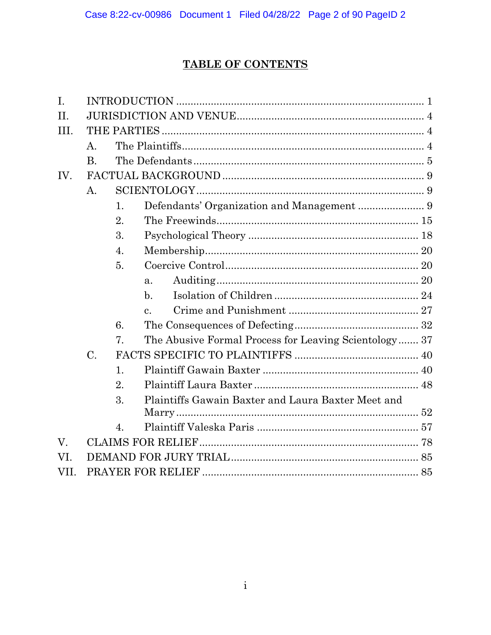# **TABLE OF CONTENTS**

| $\mathbf{I}$ . |                |                  |                                                       |  |  |
|----------------|----------------|------------------|-------------------------------------------------------|--|--|
| II.            |                |                  |                                                       |  |  |
| III.           |                |                  |                                                       |  |  |
|                | A.             |                  |                                                       |  |  |
|                | <b>B.</b>      |                  |                                                       |  |  |
| IV.            |                |                  |                                                       |  |  |
|                | $\mathbf{A}$ . |                  |                                                       |  |  |
|                |                | 1.               |                                                       |  |  |
|                |                | 2.               |                                                       |  |  |
|                |                | 3.               |                                                       |  |  |
|                |                | 4.               |                                                       |  |  |
|                |                | 5.               |                                                       |  |  |
|                |                |                  | a.                                                    |  |  |
|                |                |                  | $\mathbf{b}$ .                                        |  |  |
|                |                |                  | $\mathbf{c}$ .                                        |  |  |
|                |                | 6.               |                                                       |  |  |
|                |                | 7.               | The Abusive Formal Process for Leaving Scientology 37 |  |  |
|                | C.             |                  |                                                       |  |  |
|                |                | 1.               |                                                       |  |  |
|                |                | 2.               |                                                       |  |  |
|                |                | 3.               | Plaintiffs Gawain Baxter and Laura Baxter Meet and    |  |  |
|                |                |                  |                                                       |  |  |
|                |                | $\overline{4}$ . |                                                       |  |  |
| V.             |                |                  |                                                       |  |  |
| VI.            |                |                  |                                                       |  |  |
| VII.           |                |                  |                                                       |  |  |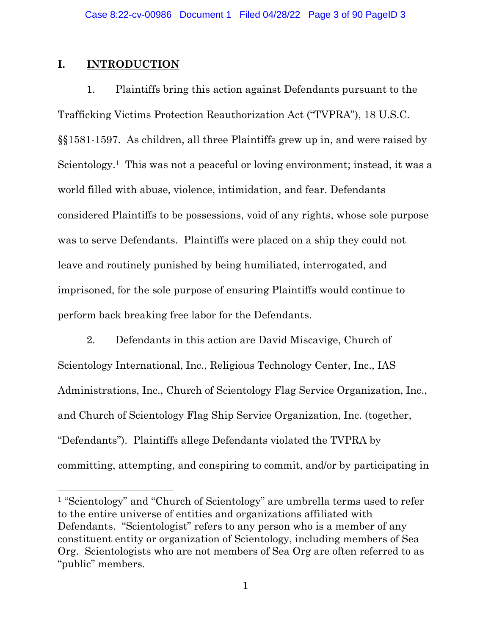## **I. INTRODUCTION**

1. Plaintiffs bring this action against Defendants pursuant to the Trafficking Victims Protection Reauthorization Act ("TVPRA"), 18 U.S.C. §§1581-1597. As children, all three Plaintiffs grew up in, and were raised by Scientology.<sup>1</sup> This was not a peaceful or loving environment; instead, it was a world filled with abuse, violence, intimidation, and fear. Defendants considered Plaintiffs to be possessions, void of any rights, whose sole purpose was to serve Defendants. Plaintiffs were placed on a ship they could not leave and routinely punished by being humiliated, interrogated, and imprisoned, for the sole purpose of ensuring Plaintiffs would continue to perform back breaking free labor for the Defendants.

2. Defendants in this action are David Miscavige, Church of Scientology International, Inc., Religious Technology Center, Inc., IAS Administrations, Inc., Church of Scientology Flag Service Organization, Inc., and Church of Scientology Flag Ship Service Organization, Inc. (together, "Defendants"). Plaintiffs allege Defendants violated the TVPRA by committing, attempting, and conspiring to commit, and/or by participating in

<sup>1</sup> "Scientology" and "Church of Scientology" are umbrella terms used to refer to the entire universe of entities and organizations affiliated with Defendants. "Scientologist" refers to any person who is a member of any constituent entity or organization of Scientology, including members of Sea Org. Scientologists who are not members of Sea Org are often referred to as "public" members.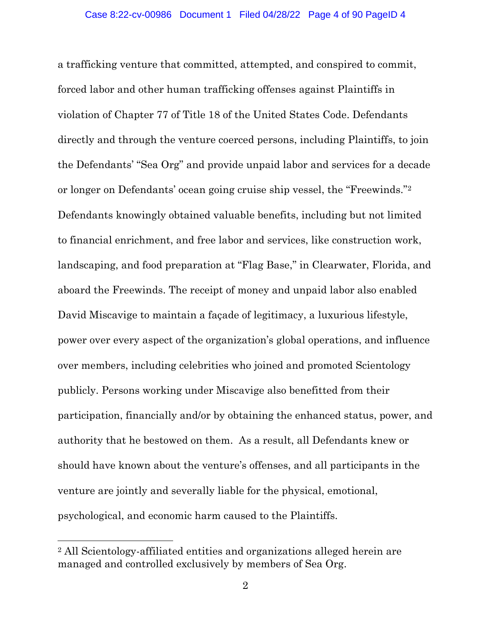a trafficking venture that committed, attempted, and conspired to commit, forced labor and other human trafficking offenses against Plaintiffs in violation of Chapter 77 of Title 18 of the United States Code. Defendants directly and through the venture coerced persons, including Plaintiffs, to join the Defendants' "Sea Org" and provide unpaid labor and services for a decade or longer on Defendants' ocean going cruise ship vessel, the "Freewinds."<sup>2</sup> Defendants knowingly obtained valuable benefits, including but not limited to financial enrichment, and free labor and services, like construction work, landscaping, and food preparation at "Flag Base," in Clearwater, Florida, and aboard the Freewinds. The receipt of money and unpaid labor also enabled David Miscavige to maintain a façade of legitimacy, a luxurious lifestyle, power over every aspect of the organization's global operations, and influence over members, including celebrities who joined and promoted Scientology publicly. Persons working under Miscavige also benefitted from their participation, financially and/or by obtaining the enhanced status, power, and authority that he bestowed on them. As a result, all Defendants knew or should have known about the venture's offenses, and all participants in the venture are jointly and severally liable for the physical, emotional, psychological, and economic harm caused to the Plaintiffs.

<sup>2</sup> All Scientology-affiliated entities and organizations alleged herein are managed and controlled exclusively by members of Sea Org.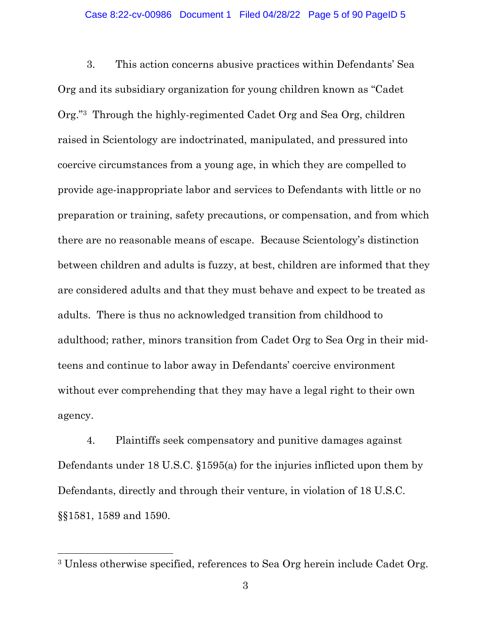3. This action concerns abusive practices within Defendants' Sea Org and its subsidiary organization for young children known as "Cadet Org."3 Through the highly-regimented Cadet Org and Sea Org, children raised in Scientology are indoctrinated, manipulated, and pressured into coercive circumstances from a young age, in which they are compelled to provide age-inappropriate labor and services to Defendants with little or no preparation or training, safety precautions, or compensation, and from which there are no reasonable means of escape. Because Scientology's distinction between children and adults is fuzzy, at best, children are informed that they are considered adults and that they must behave and expect to be treated as adults. There is thus no acknowledged transition from childhood to adulthood; rather, minors transition from Cadet Org to Sea Org in their midteens and continue to labor away in Defendants' coercive environment without ever comprehending that they may have a legal right to their own agency.

4. Plaintiffs seek compensatory and punitive damages against Defendants under 18 U.S.C. §1595(a) for the injuries inflicted upon them by Defendants, directly and through their venture, in violation of 18 U.S.C. §§1581, 1589 and 1590.

<sup>3</sup> Unless otherwise specified, references to Sea Org herein include Cadet Org.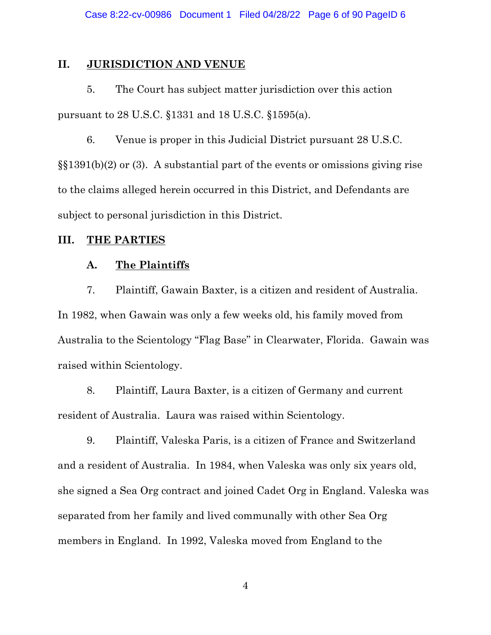## **II. JURISDICTION AND VENUE**

5. The Court has subject matter jurisdiction over this action pursuant to 28 U.S.C. §1331 and 18 U.S.C. §1595(a).

6. Venue is proper in this Judicial District pursuant 28 U.S.C. §§1391(b)(2) or (3). A substantial part of the events or omissions giving rise to the claims alleged herein occurred in this District, and Defendants are subject to personal jurisdiction in this District.

## **III. THE PARTIES**

## **A. The Plaintiffs**

7. Plaintiff, Gawain Baxter, is a citizen and resident of Australia. In 1982, when Gawain was only a few weeks old, his family moved from Australia to the Scientology "Flag Base" in Clearwater, Florida. Gawain was raised within Scientology.

8. Plaintiff, Laura Baxter, is a citizen of Germany and current resident of Australia. Laura was raised within Scientology.

9. Plaintiff, Valeska Paris, is a citizen of France and Switzerland and a resident of Australia. In 1984, when Valeska was only six years old, she signed a Sea Org contract and joined Cadet Org in England. Valeska was separated from her family and lived communally with other Sea Org members in England. In 1992, Valeska moved from England to the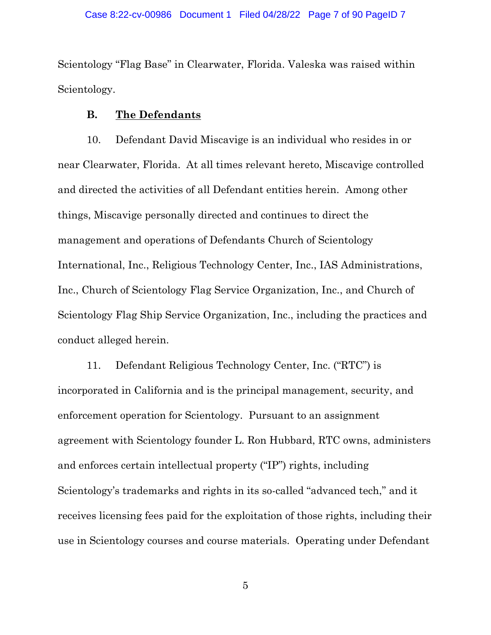Scientology "Flag Base" in Clearwater, Florida. Valeska was raised within Scientology.

## **B. The Defendants**

10. Defendant David Miscavige is an individual who resides in or near Clearwater, Florida. At all times relevant hereto, Miscavige controlled and directed the activities of all Defendant entities herein. Among other things, Miscavige personally directed and continues to direct the management and operations of Defendants Church of Scientology International, Inc., Religious Technology Center, Inc., IAS Administrations, Inc., Church of Scientology Flag Service Organization, Inc., and Church of Scientology Flag Ship Service Organization, Inc., including the practices and conduct alleged herein.

11. Defendant Religious Technology Center, Inc. ("RTC") is incorporated in California and is the principal management, security, and enforcement operation for Scientology. Pursuant to an assignment agreement with Scientology founder L. Ron Hubbard, RTC owns, administers and enforces certain intellectual property ("IP") rights, including Scientology's trademarks and rights in its so-called "advanced tech," and it receives licensing fees paid for the exploitation of those rights, including their use in Scientology courses and course materials. Operating under Defendant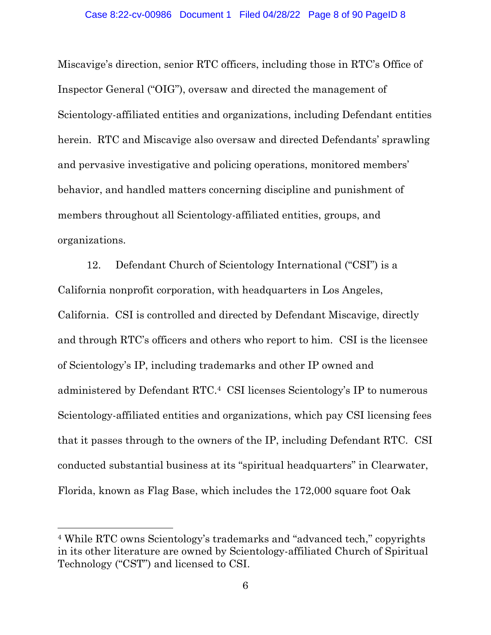Miscavige's direction, senior RTC officers, including those in RTC's Office of Inspector General ("OIG"), oversaw and directed the management of Scientology-affiliated entities and organizations, including Defendant entities herein. RTC and Miscavige also oversaw and directed Defendants' sprawling and pervasive investigative and policing operations, monitored members' behavior, and handled matters concerning discipline and punishment of members throughout all Scientology-affiliated entities, groups, and organizations.

12. Defendant Church of Scientology International ("CSI") is a California nonprofit corporation, with headquarters in Los Angeles, California. CSI is controlled and directed by Defendant Miscavige, directly and through RTC's officers and others who report to him. CSI is the licensee of Scientology's IP, including trademarks and other IP owned and administered by Defendant RTC. <sup>4</sup> CSI licenses Scientology's IP to numerous Scientology-affiliated entities and organizations, which pay CSI licensing fees that it passes through to the owners of the IP, including Defendant RTC. CSI conducted substantial business at its "spiritual headquarters" in Clearwater, Florida, known as Flag Base, which includes the 172,000 square foot Oak

<sup>4</sup> While RTC owns Scientology's trademarks and "advanced tech," copyrights in its other literature are owned by Scientology-affiliated Church of Spiritual Technology ("CST") and licensed to CSI.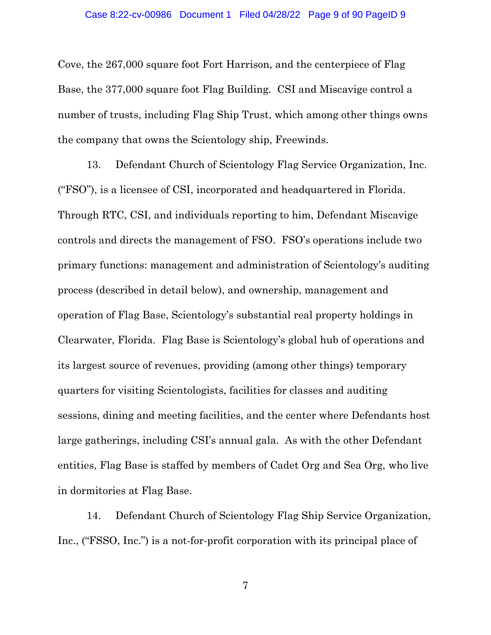#### Case 8:22-cv-00986 Document 1 Filed 04/28/22 Page 9 of 90 PageID 9

Cove, the 267,000 square foot Fort Harrison, and the centerpiece of Flag Base, the 377,000 square foot Flag Building. CSI and Miscavige control a number of trusts, including Flag Ship Trust, which among other things owns the company that owns the Scientology ship, Freewinds.

13. Defendant Church of Scientology Flag Service Organization, Inc. ("FSO"), is a licensee of CSI, incorporated and headquartered in Florida. Through RTC, CSI, and individuals reporting to him, Defendant Miscavige controls and directs the management of FSO. FSO's operations include two primary functions: management and administration of Scientology's auditing process (described in detail below), and ownership, management and operation of Flag Base, Scientology's substantial real property holdings in Clearwater, Florida. Flag Base is Scientology's global hub of operations and its largest source of revenues, providing (among other things) temporary quarters for visiting Scientologists, facilities for classes and auditing sessions, dining and meeting facilities, and the center where Defendants host large gatherings, including CSI's annual gala. As with the other Defendant entities, Flag Base is staffed by members of Cadet Org and Sea Org, who live in dormitories at Flag Base.

14. Defendant Church of Scientology Flag Ship Service Organization, Inc., ("FSSO, Inc.") is a not-for-profit corporation with its principal place of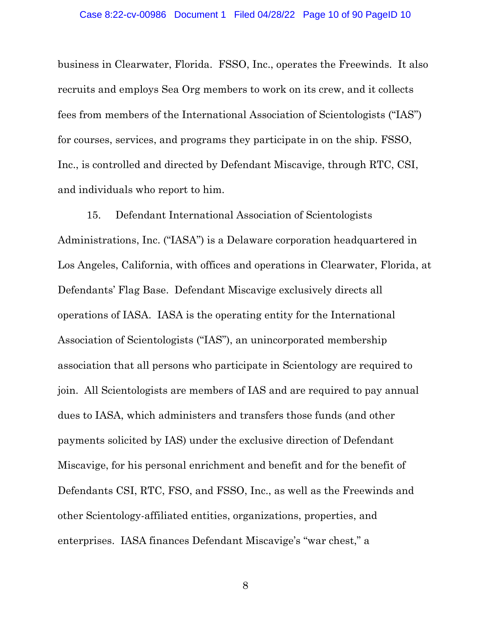business in Clearwater, Florida. FSSO, Inc., operates the Freewinds. It also recruits and employs Sea Org members to work on its crew, and it collects fees from members of the International Association of Scientologists ("IAS") for courses, services, and programs they participate in on the ship. FSSO, Inc., is controlled and directed by Defendant Miscavige, through RTC, CSI, and individuals who report to him.

15. Defendant International Association of Scientologists Administrations, Inc. ("IASA") is a Delaware corporation headquartered in Los Angeles, California, with offices and operations in Clearwater, Florida, at Defendants' Flag Base. Defendant Miscavige exclusively directs all operations of IASA. IASA is the operating entity for the International Association of Scientologists ("IAS"), an unincorporated membership association that all persons who participate in Scientology are required to join. All Scientologists are members of IAS and are required to pay annual dues to IASA, which administers and transfers those funds (and other payments solicited by IAS) under the exclusive direction of Defendant Miscavige, for his personal enrichment and benefit and for the benefit of Defendants CSI, RTC, FSO, and FSSO, Inc., as well as the Freewinds and other Scientology-affiliated entities, organizations, properties, and enterprises. IASA finances Defendant Miscavige's "war chest," a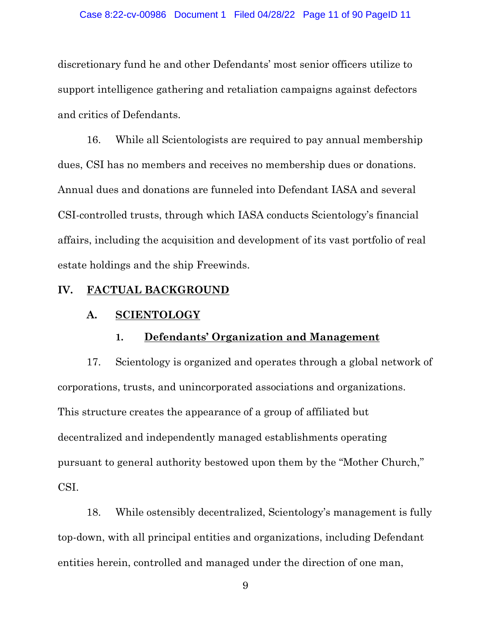discretionary fund he and other Defendants' most senior officers utilize to support intelligence gathering and retaliation campaigns against defectors and critics of Defendants.

16. While all Scientologists are required to pay annual membership dues, CSI has no members and receives no membership dues or donations. Annual dues and donations are funneled into Defendant IASA and several CSI-controlled trusts, through which IASA conducts Scientology's financial affairs, including the acquisition and development of its vast portfolio of real estate holdings and the ship Freewinds.

## **IV. FACTUAL BACKGROUND**

## **A. SCIENTOLOGY**

## **1. Defendants' Organization and Management**

17. Scientology is organized and operates through a global network of corporations, trusts, and unincorporated associations and organizations. This structure creates the appearance of a group of affiliated but decentralized and independently managed establishments operating pursuant to general authority bestowed upon them by the "Mother Church," CSI.

18. While ostensibly decentralized, Scientology's management is fully top-down, with all principal entities and organizations, including Defendant entities herein, controlled and managed under the direction of one man,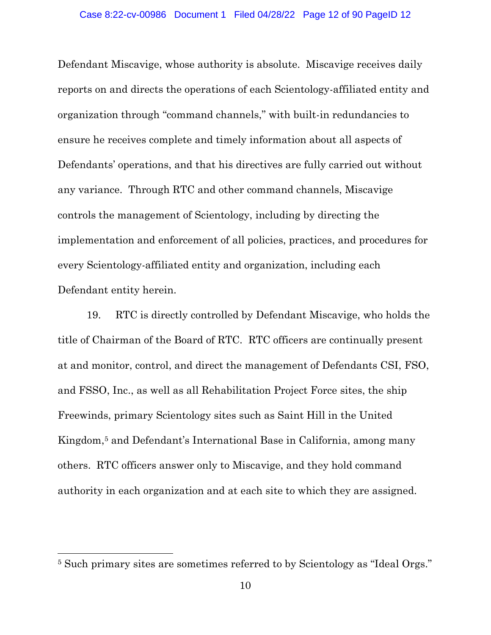Defendant Miscavige, whose authority is absolute. Miscavige receives daily reports on and directs the operations of each Scientology-affiliated entity and organization through "command channels," with built-in redundancies to ensure he receives complete and timely information about all aspects of Defendants' operations, and that his directives are fully carried out without any variance. Through RTC and other command channels, Miscavige controls the management of Scientology, including by directing the implementation and enforcement of all policies, practices, and procedures for every Scientology-affiliated entity and organization, including each Defendant entity herein.

19. RTC is directly controlled by Defendant Miscavige, who holds the title of Chairman of the Board of RTC. RTC officers are continually present at and monitor, control, and direct the management of Defendants CSI, FSO, and FSSO, Inc., as well as all Rehabilitation Project Force sites, the ship Freewinds, primary Scientology sites such as Saint Hill in the United Kingdom, <sup>5</sup> and Defendant's International Base in California, among many others. RTC officers answer only to Miscavige, and they hold command authority in each organization and at each site to which they are assigned.

<sup>5</sup> Such primary sites are sometimes referred to by Scientology as "Ideal Orgs."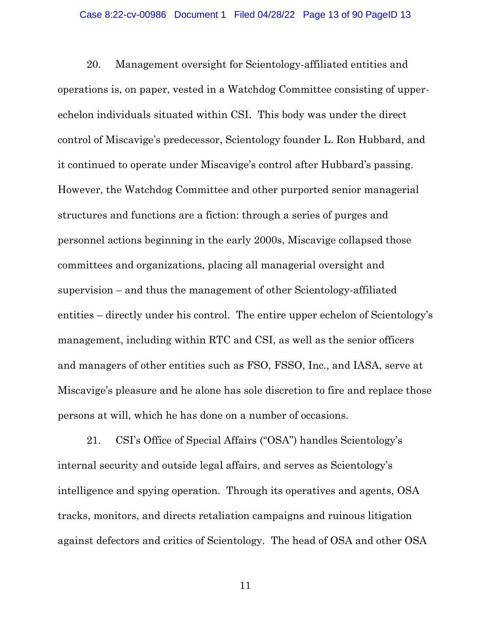20. Management oversight for Scientology-affiliated entities and operations is, on paper, vested in a Watchdog Committee consisting of upperechelon individuals situated within CSI. This body was under the direct control of Miscavige's predecessor, Scientology founder L. Ron Hubbard, and it continued to operate under Miscavige's control after Hubbard's passing. However, the Watchdog Committee and other purported senior managerial structures and functions are a fiction: through a series of purges and personnel actions beginning in the early 2000s, Miscavige collapsed those committees and organizations, placing all managerial oversight and supervision – and thus the management of other Scientology-affiliated entities – directly under his control. The entire upper echelon of Scientology's management, including within RTC and CSI, as well as the senior officers and managers of other entities such as FSO, FSSO, Inc., and IASA, serve at Miscavige's pleasure and he alone has sole discretion to fire and replace those persons at will, which he has done on a number of occasions.

21. CSI's Office of Special Affairs ("OSA") handles Scientology's internal security and outside legal affairs, and serves as Scientology's intelligence and spying operation. Through its operatives and agents, OSA tracks, monitors, and directs retaliation campaigns and ruinous litigation against defectors and critics of Scientology. The head of OSA and other OSA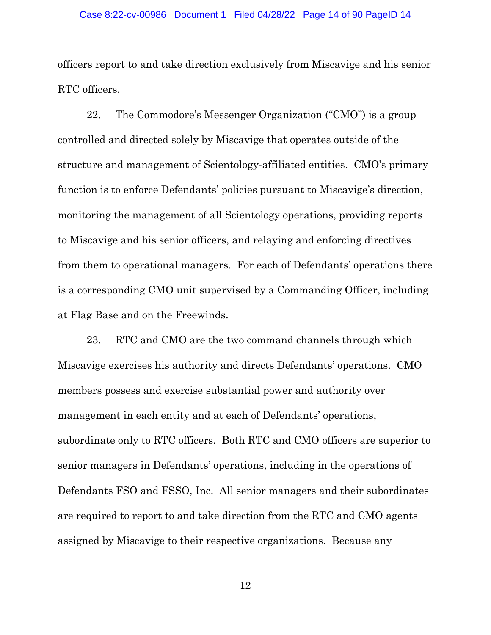#### Case 8:22-cv-00986 Document 1 Filed 04/28/22 Page 14 of 90 PageID 14

officers report to and take direction exclusively from Miscavige and his senior RTC officers.

22. The Commodore's Messenger Organization ("CMO") is a group controlled and directed solely by Miscavige that operates outside of the structure and management of Scientology-affiliated entities. CMO's primary function is to enforce Defendants' policies pursuant to Miscavige's direction, monitoring the management of all Scientology operations, providing reports to Miscavige and his senior officers, and relaying and enforcing directives from them to operational managers. For each of Defendants' operations there is a corresponding CMO unit supervised by a Commanding Officer, including at Flag Base and on the Freewinds.

23. RTC and CMO are the two command channels through which Miscavige exercises his authority and directs Defendants' operations. CMO members possess and exercise substantial power and authority over management in each entity and at each of Defendants' operations, subordinate only to RTC officers. Both RTC and CMO officers are superior to senior managers in Defendants' operations, including in the operations of Defendants FSO and FSSO, Inc. All senior managers and their subordinates are required to report to and take direction from the RTC and CMO agents assigned by Miscavige to their respective organizations. Because any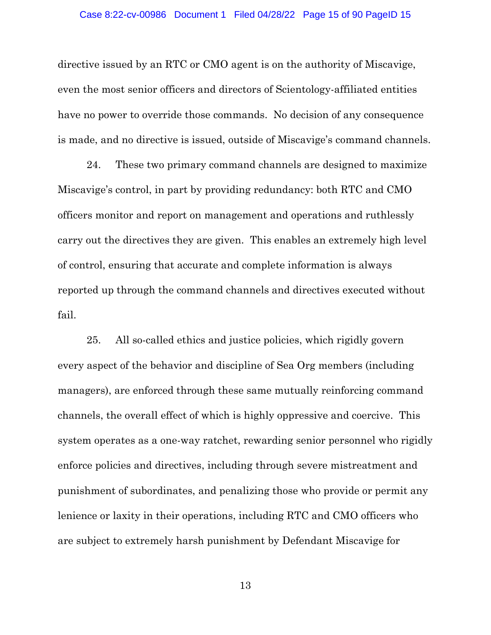directive issued by an RTC or CMO agent is on the authority of Miscavige, even the most senior officers and directors of Scientology-affiliated entities have no power to override those commands. No decision of any consequence is made, and no directive is issued, outside of Miscavige's command channels.

24. These two primary command channels are designed to maximize Miscavige's control, in part by providing redundancy: both RTC and CMO officers monitor and report on management and operations and ruthlessly carry out the directives they are given. This enables an extremely high level of control, ensuring that accurate and complete information is always reported up through the command channels and directives executed without fail.

25. All so-called ethics and justice policies, which rigidly govern every aspect of the behavior and discipline of Sea Org members (including managers), are enforced through these same mutually reinforcing command channels, the overall effect of which is highly oppressive and coercive. This system operates as a one-way ratchet, rewarding senior personnel who rigidly enforce policies and directives, including through severe mistreatment and punishment of subordinates, and penalizing those who provide or permit any lenience or laxity in their operations, including RTC and CMO officers who are subject to extremely harsh punishment by Defendant Miscavige for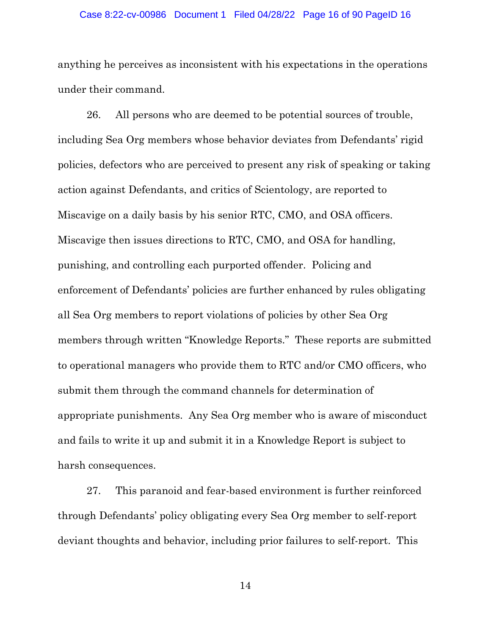#### Case 8:22-cv-00986 Document 1 Filed 04/28/22 Page 16 of 90 PageID 16

anything he perceives as inconsistent with his expectations in the operations under their command.

26. All persons who are deemed to be potential sources of trouble, including Sea Org members whose behavior deviates from Defendants' rigid policies, defectors who are perceived to present any risk of speaking or taking action against Defendants, and critics of Scientology, are reported to Miscavige on a daily basis by his senior RTC, CMO, and OSA officers. Miscavige then issues directions to RTC, CMO, and OSA for handling, punishing, and controlling each purported offender. Policing and enforcement of Defendants' policies are further enhanced by rules obligating all Sea Org members to report violations of policies by other Sea Org members through written "Knowledge Reports." These reports are submitted to operational managers who provide them to RTC and/or CMO officers, who submit them through the command channels for determination of appropriate punishments. Any Sea Org member who is aware of misconduct and fails to write it up and submit it in a Knowledge Report is subject to harsh consequences.

27. This paranoid and fear-based environment is further reinforced through Defendants' policy obligating every Sea Org member to self-report deviant thoughts and behavior, including prior failures to self-report. This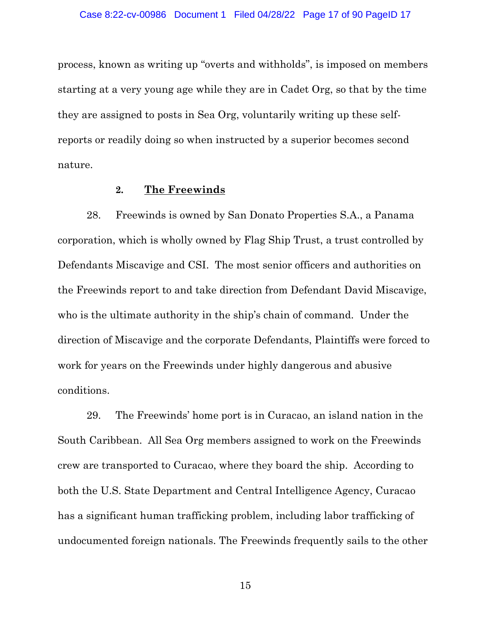process, known as writing up "overts and withholds", is imposed on members starting at a very young age while they are in Cadet Org, so that by the time they are assigned to posts in Sea Org, voluntarily writing up these selfreports or readily doing so when instructed by a superior becomes second nature.

## **2. The Freewinds**

28. Freewinds is owned by San Donato Properties S.A., a Panama corporation, which is wholly owned by Flag Ship Trust, a trust controlled by Defendants Miscavige and CSI. The most senior officers and authorities on the Freewinds report to and take direction from Defendant David Miscavige, who is the ultimate authority in the ship's chain of command. Under the direction of Miscavige and the corporate Defendants, Plaintiffs were forced to work for years on the Freewinds under highly dangerous and abusive conditions.

29. The Freewinds' home port is in Curacao, an island nation in the South Caribbean. All Sea Org members assigned to work on the Freewinds crew are transported to Curacao, where they board the ship. According to both the U.S. State Department and Central Intelligence Agency, Curacao has a significant human trafficking problem, including labor trafficking of undocumented foreign nationals. The Freewinds frequently sails to the other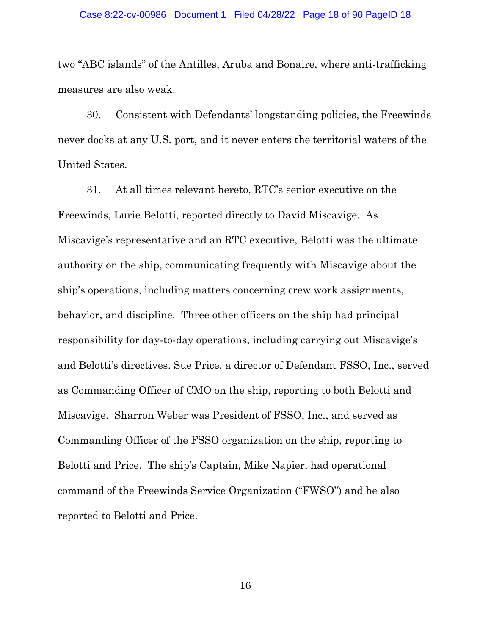#### Case 8:22-cv-00986 Document 1 Filed 04/28/22 Page 18 of 90 PageID 18

two "ABC islands" of the Antilles, Aruba and Bonaire, where anti-trafficking measures are also weak.

30. Consistent with Defendants' longstanding policies, the Freewinds never docks at any U.S. port, and it never enters the territorial waters of the United States.

31. At all times relevant hereto, RTC's senior executive on the Freewinds, Lurie Belotti, reported directly to David Miscavige. As Miscavige's representative and an RTC executive, Belotti was the ultimate authority on the ship, communicating frequently with Miscavige about the ship's operations, including matters concerning crew work assignments, behavior, and discipline. Three other officers on the ship had principal responsibility for day-to-day operations, including carrying out Miscavige's and Belotti's directives. Sue Price, a director of Defendant FSSO, Inc., served as Commanding Officer of CMO on the ship, reporting to both Belotti and Miscavige. Sharron Weber was President of FSSO, Inc., and served as Commanding Officer of the FSSO organization on the ship, reporting to Belotti and Price. The ship's Captain, Mike Napier, had operational command of the Freewinds Service Organization ("FWSO") and he also reported to Belotti and Price.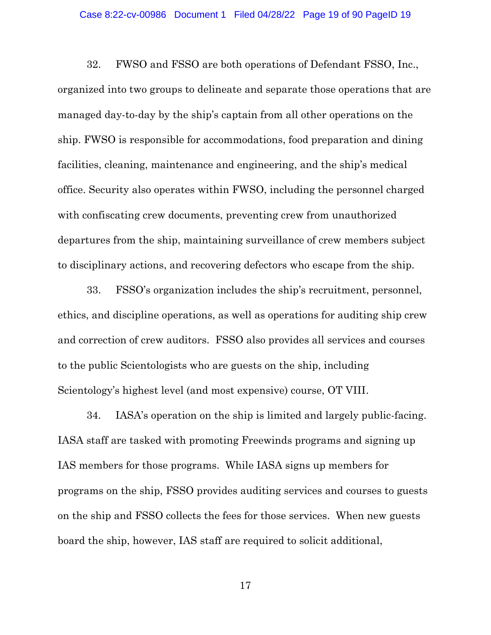32. FWSO and FSSO are both operations of Defendant FSSO, Inc., organized into two groups to delineate and separate those operations that are managed day-to-day by the ship's captain from all other operations on the ship. FWSO is responsible for accommodations, food preparation and dining facilities, cleaning, maintenance and engineering, and the ship's medical office. Security also operates within FWSO, including the personnel charged with confiscating crew documents, preventing crew from unauthorized departures from the ship, maintaining surveillance of crew members subject to disciplinary actions, and recovering defectors who escape from the ship.

33. FSSO's organization includes the ship's recruitment, personnel, ethics, and discipline operations, as well as operations for auditing ship crew and correction of crew auditors. FSSO also provides all services and courses to the public Scientologists who are guests on the ship, including Scientology's highest level (and most expensive) course, OT VIII.

34. IASA's operation on the ship is limited and largely public-facing. IASA staff are tasked with promoting Freewinds programs and signing up IAS members for those programs. While IASA signs up members for programs on the ship, FSSO provides auditing services and courses to guests on the ship and FSSO collects the fees for those services. When new guests board the ship, however, IAS staff are required to solicit additional,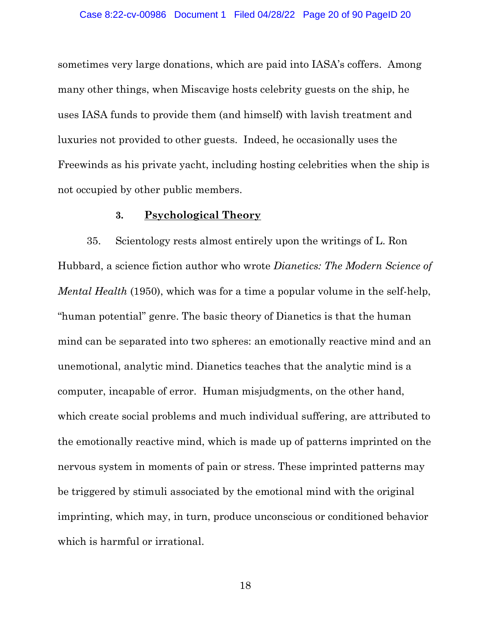sometimes very large donations, which are paid into IASA's coffers. Among many other things, when Miscavige hosts celebrity guests on the ship, he uses IASA funds to provide them (and himself) with lavish treatment and luxuries not provided to other guests. Indeed, he occasionally uses the Freewinds as his private yacht, including hosting celebrities when the ship is not occupied by other public members.

#### **3. Psychological Theory**

35. Scientology rests almost entirely upon the writings of L. Ron Hubbard, a science fiction author who wrote *Dianetics: The Modern Science of Mental Health* (1950), which was for a time a popular volume in the self-help, "human potential" genre. The basic theory of Dianetics is that the human mind can be separated into two spheres: an emotionally reactive mind and an unemotional, analytic mind. Dianetics teaches that the analytic mind is a computer, incapable of error. Human misjudgments, on the other hand, which create social problems and much individual suffering, are attributed to the emotionally reactive mind, which is made up of patterns imprinted on the nervous system in moments of pain or stress. These imprinted patterns may be triggered by stimuli associated by the emotional mind with the original imprinting, which may, in turn, produce unconscious or conditioned behavior which is harmful or irrational.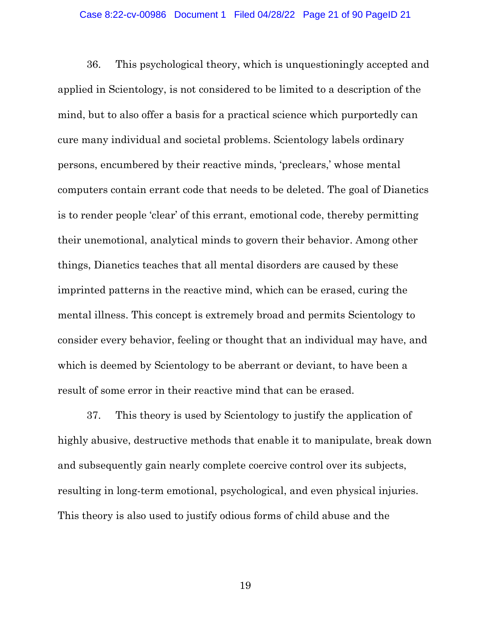#### Case 8:22-cv-00986 Document 1 Filed 04/28/22 Page 21 of 90 PageID 21

36. This psychological theory, which is unquestioningly accepted and applied in Scientology, is not considered to be limited to a description of the mind, but to also offer a basis for a practical science which purportedly can cure many individual and societal problems. Scientology labels ordinary persons, encumbered by their reactive minds, 'preclears,' whose mental computers contain errant code that needs to be deleted. The goal of Dianetics is to render people 'clear' of this errant, emotional code, thereby permitting their unemotional, analytical minds to govern their behavior. Among other things, Dianetics teaches that all mental disorders are caused by these imprinted patterns in the reactive mind, which can be erased, curing the mental illness. This concept is extremely broad and permits Scientology to consider every behavior, feeling or thought that an individual may have, and which is deemed by Scientology to be aberrant or deviant, to have been a result of some error in their reactive mind that can be erased.

37. This theory is used by Scientology to justify the application of highly abusive, destructive methods that enable it to manipulate, break down and subsequently gain nearly complete coercive control over its subjects, resulting in long-term emotional, psychological, and even physical injuries. This theory is also used to justify odious forms of child abuse and the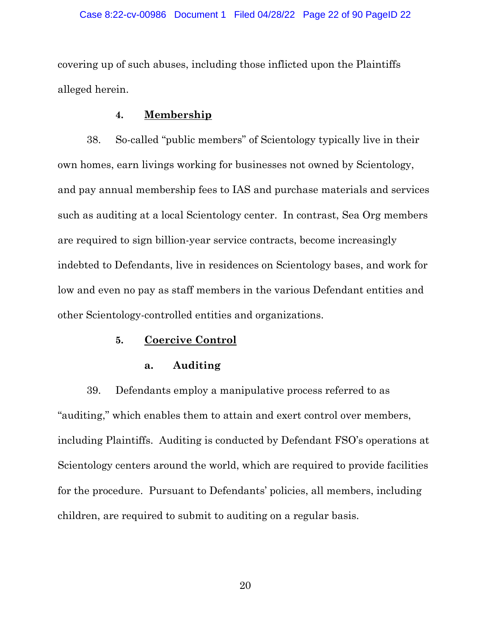#### Case 8:22-cv-00986 Document 1 Filed 04/28/22 Page 22 of 90 PageID 22

covering up of such abuses, including those inflicted upon the Plaintiffs alleged herein.

## **4. Membership**

38. So-called "public members" of Scientology typically live in their own homes, earn livings working for businesses not owned by Scientology, and pay annual membership fees to IAS and purchase materials and services such as auditing at a local Scientology center. In contrast, Sea Org members are required to sign billion-year service contracts, become increasingly indebted to Defendants, live in residences on Scientology bases, and work for low and even no pay as staff members in the various Defendant entities and other Scientology-controlled entities and organizations.

## **5. Coercive Control**

## **a. Auditing**

39. Defendants employ a manipulative process referred to as "auditing," which enables them to attain and exert control over members, including Plaintiffs. Auditing is conducted by Defendant FSO's operations at Scientology centers around the world, which are required to provide facilities for the procedure. Pursuant to Defendants' policies, all members, including children, are required to submit to auditing on a regular basis.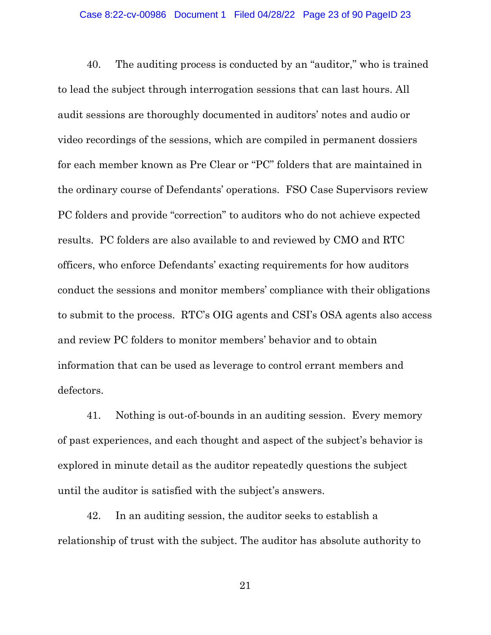40. The auditing process is conducted by an "auditor," who is trained to lead the subject through interrogation sessions that can last hours. All audit sessions are thoroughly documented in auditors' notes and audio or video recordings of the sessions, which are compiled in permanent dossiers for each member known as Pre Clear or "PC" folders that are maintained in the ordinary course of Defendants' operations. FSO Case Supervisors review PC folders and provide "correction" to auditors who do not achieve expected results. PC folders are also available to and reviewed by CMO and RTC officers, who enforce Defendants' exacting requirements for how auditors conduct the sessions and monitor members' compliance with their obligations to submit to the process. RTC's OIG agents and CSI's OSA agents also access and review PC folders to monitor members' behavior and to obtain information that can be used as leverage to control errant members and defectors.

41. Nothing is out-of-bounds in an auditing session. Every memory of past experiences, and each thought and aspect of the subject's behavior is explored in minute detail as the auditor repeatedly questions the subject until the auditor is satisfied with the subject's answers.

42. In an auditing session, the auditor seeks to establish a relationship of trust with the subject. The auditor has absolute authority to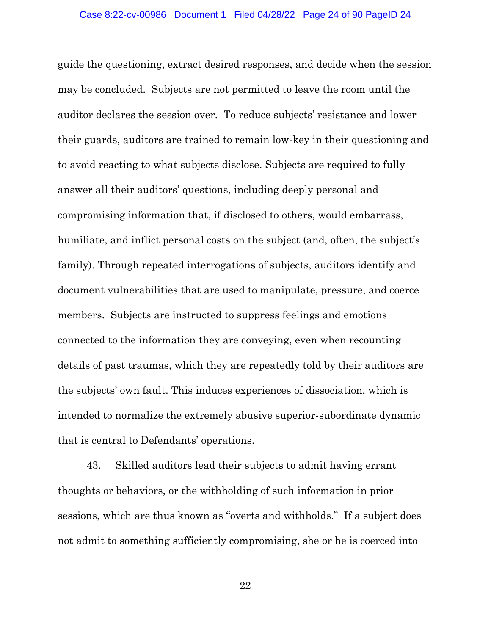guide the questioning, extract desired responses, and decide when the session may be concluded. Subjects are not permitted to leave the room until the auditor declares the session over. To reduce subjects' resistance and lower their guards, auditors are trained to remain low-key in their questioning and to avoid reacting to what subjects disclose. Subjects are required to fully answer all their auditors' questions, including deeply personal and compromising information that, if disclosed to others, would embarrass, humiliate, and inflict personal costs on the subject (and, often, the subject's family). Through repeated interrogations of subjects, auditors identify and document vulnerabilities that are used to manipulate, pressure, and coerce members. Subjects are instructed to suppress feelings and emotions connected to the information they are conveying, even when recounting details of past traumas, which they are repeatedly told by their auditors are the subjects' own fault. This induces experiences of dissociation, which is intended to normalize the extremely abusive superior-subordinate dynamic that is central to Defendants' operations.

43. Skilled auditors lead their subjects to admit having errant thoughts or behaviors, or the withholding of such information in prior sessions, which are thus known as "overts and withholds." If a subject does not admit to something sufficiently compromising, she or he is coerced into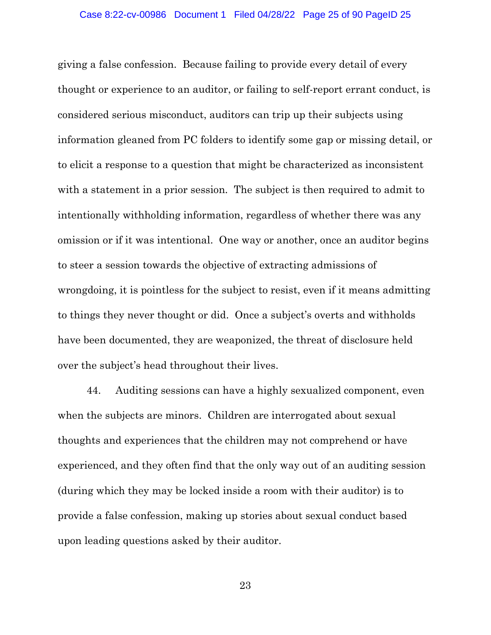giving a false confession. Because failing to provide every detail of every thought or experience to an auditor, or failing to self-report errant conduct, is considered serious misconduct, auditors can trip up their subjects using information gleaned from PC folders to identify some gap or missing detail, or to elicit a response to a question that might be characterized as inconsistent with a statement in a prior session. The subject is then required to admit to intentionally withholding information, regardless of whether there was any omission or if it was intentional. One way or another, once an auditor begins to steer a session towards the objective of extracting admissions of wrongdoing, it is pointless for the subject to resist, even if it means admitting to things they never thought or did. Once a subject's overts and withholds have been documented, they are weaponized, the threat of disclosure held over the subject's head throughout their lives.

44. Auditing sessions can have a highly sexualized component, even when the subjects are minors. Children are interrogated about sexual thoughts and experiences that the children may not comprehend or have experienced, and they often find that the only way out of an auditing session (during which they may be locked inside a room with their auditor) is to provide a false confession, making up stories about sexual conduct based upon leading questions asked by their auditor.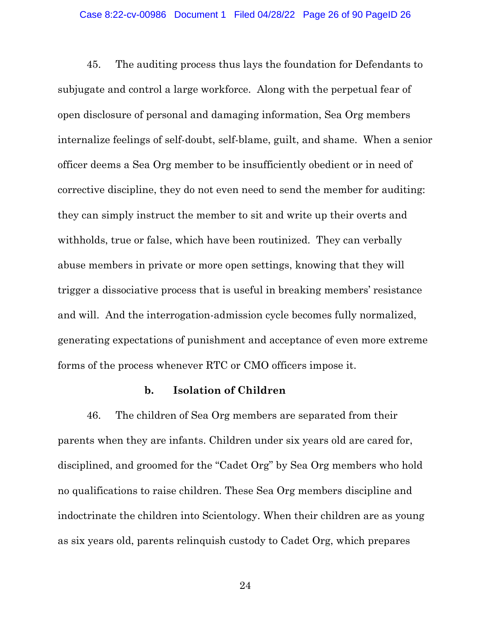#### Case 8:22-cv-00986 Document 1 Filed 04/28/22 Page 26 of 90 PageID 26

45. The auditing process thus lays the foundation for Defendants to subjugate and control a large workforce. Along with the perpetual fear of open disclosure of personal and damaging information, Sea Org members internalize feelings of self-doubt, self-blame, guilt, and shame. When a senior officer deems a Sea Org member to be insufficiently obedient or in need of corrective discipline, they do not even need to send the member for auditing: they can simply instruct the member to sit and write up their overts and withholds, true or false, which have been routinized. They can verbally abuse members in private or more open settings, knowing that they will trigger a dissociative process that is useful in breaking members' resistance and will. And the interrogation-admission cycle becomes fully normalized, generating expectations of punishment and acceptance of even more extreme forms of the process whenever RTC or CMO officers impose it.

## **b. Isolation of Children**

46. The children of Sea Org members are separated from their parents when they are infants. Children under six years old are cared for, disciplined, and groomed for the "Cadet Org" by Sea Org members who hold no qualifications to raise children. These Sea Org members discipline and indoctrinate the children into Scientology. When their children are as young as six years old, parents relinquish custody to Cadet Org, which prepares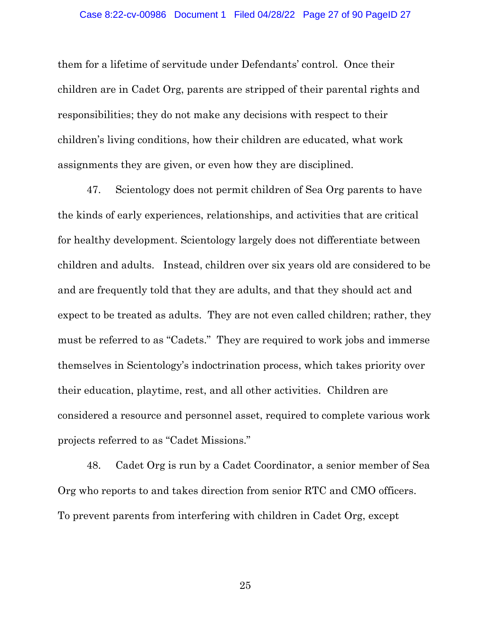them for a lifetime of servitude under Defendants' control. Once their children are in Cadet Org, parents are stripped of their parental rights and responsibilities; they do not make any decisions with respect to their children's living conditions, how their children are educated, what work assignments they are given, or even how they are disciplined.

47. Scientology does not permit children of Sea Org parents to have the kinds of early experiences, relationships, and activities that are critical for healthy development. Scientology largely does not differentiate between children and adults. Instead, children over six years old are considered to be and are frequently told that they are adults, and that they should act and expect to be treated as adults. They are not even called children; rather, they must be referred to as "Cadets." They are required to work jobs and immerse themselves in Scientology's indoctrination process, which takes priority over their education, playtime, rest, and all other activities. Children are considered a resource and personnel asset, required to complete various work projects referred to as "Cadet Missions."

48. Cadet Org is run by a Cadet Coordinator, a senior member of Sea Org who reports to and takes direction from senior RTC and CMO officers. To prevent parents from interfering with children in Cadet Org, except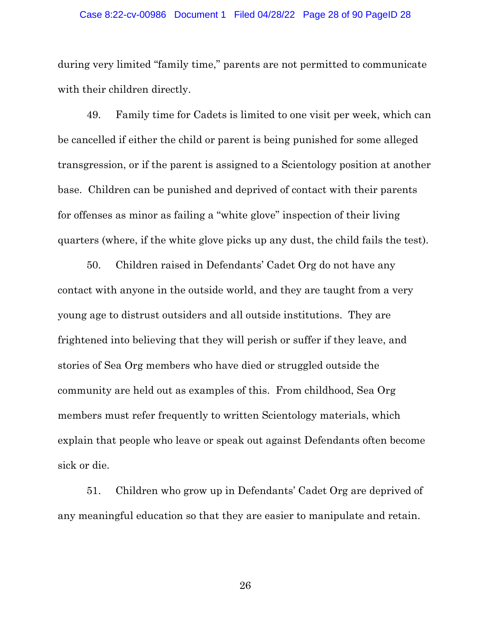#### Case 8:22-cv-00986 Document 1 Filed 04/28/22 Page 28 of 90 PageID 28

during very limited "family time," parents are not permitted to communicate with their children directly.

49. Family time for Cadets is limited to one visit per week, which can be cancelled if either the child or parent is being punished for some alleged transgression, or if the parent is assigned to a Scientology position at another base. Children can be punished and deprived of contact with their parents for offenses as minor as failing a "white glove" inspection of their living quarters (where, if the white glove picks up any dust, the child fails the test).

50. Children raised in Defendants' Cadet Org do not have any contact with anyone in the outside world, and they are taught from a very young age to distrust outsiders and all outside institutions. They are frightened into believing that they will perish or suffer if they leave, and stories of Sea Org members who have died or struggled outside the community are held out as examples of this. From childhood, Sea Org members must refer frequently to written Scientology materials, which explain that people who leave or speak out against Defendants often become sick or die.

51. Children who grow up in Defendants' Cadet Org are deprived of any meaningful education so that they are easier to manipulate and retain.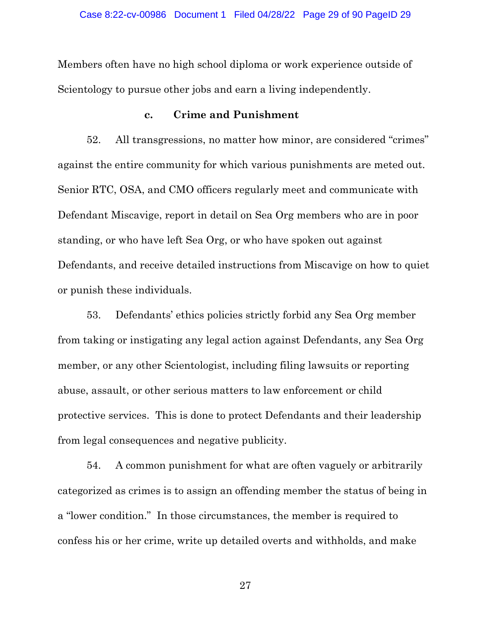Members often have no high school diploma or work experience outside of Scientology to pursue other jobs and earn a living independently.

## **c. Crime and Punishment**

52. All transgressions, no matter how minor, are considered "crimes" against the entire community for which various punishments are meted out. Senior RTC, OSA, and CMO officers regularly meet and communicate with Defendant Miscavige, report in detail on Sea Org members who are in poor standing, or who have left Sea Org, or who have spoken out against Defendants, and receive detailed instructions from Miscavige on how to quiet or punish these individuals.

53. Defendants' ethics policies strictly forbid any Sea Org member from taking or instigating any legal action against Defendants, any Sea Org member, or any other Scientologist, including filing lawsuits or reporting abuse, assault, or other serious matters to law enforcement or child protective services. This is done to protect Defendants and their leadership from legal consequences and negative publicity.

54. A common punishment for what are often vaguely or arbitrarily categorized as crimes is to assign an offending member the status of being in a "lower condition." In those circumstances, the member is required to confess his or her crime, write up detailed overts and withholds, and make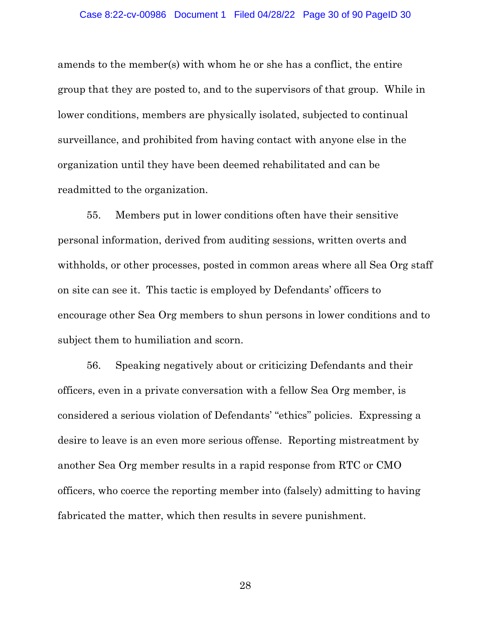amends to the member(s) with whom he or she has a conflict, the entire group that they are posted to, and to the supervisors of that group. While in lower conditions, members are physically isolated, subjected to continual surveillance, and prohibited from having contact with anyone else in the organization until they have been deemed rehabilitated and can be readmitted to the organization.

55. Members put in lower conditions often have their sensitive personal information, derived from auditing sessions, written overts and withholds, or other processes, posted in common areas where all Sea Org staff on site can see it. This tactic is employed by Defendants' officers to encourage other Sea Org members to shun persons in lower conditions and to subject them to humiliation and scorn.

56. Speaking negatively about or criticizing Defendants and their officers, even in a private conversation with a fellow Sea Org member, is considered a serious violation of Defendants' "ethics" policies. Expressing a desire to leave is an even more serious offense. Reporting mistreatment by another Sea Org member results in a rapid response from RTC or CMO officers, who coerce the reporting member into (falsely) admitting to having fabricated the matter, which then results in severe punishment.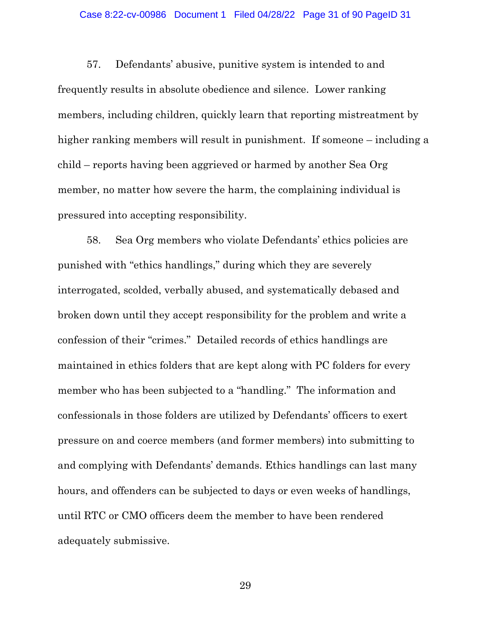#### Case 8:22-cv-00986 Document 1 Filed 04/28/22 Page 31 of 90 PageID 31

57. Defendants' abusive, punitive system is intended to and frequently results in absolute obedience and silence. Lower ranking members, including children, quickly learn that reporting mistreatment by higher ranking members will result in punishment. If someone – including a child – reports having been aggrieved or harmed by another Sea Org member, no matter how severe the harm, the complaining individual is pressured into accepting responsibility.

58. Sea Org members who violate Defendants' ethics policies are punished with "ethics handlings," during which they are severely interrogated, scolded, verbally abused, and systematically debased and broken down until they accept responsibility for the problem and write a confession of their "crimes." Detailed records of ethics handlings are maintained in ethics folders that are kept along with PC folders for every member who has been subjected to a "handling." The information and confessionals in those folders are utilized by Defendants' officers to exert pressure on and coerce members (and former members) into submitting to and complying with Defendants' demands. Ethics handlings can last many hours, and offenders can be subjected to days or even weeks of handlings, until RTC or CMO officers deem the member to have been rendered adequately submissive.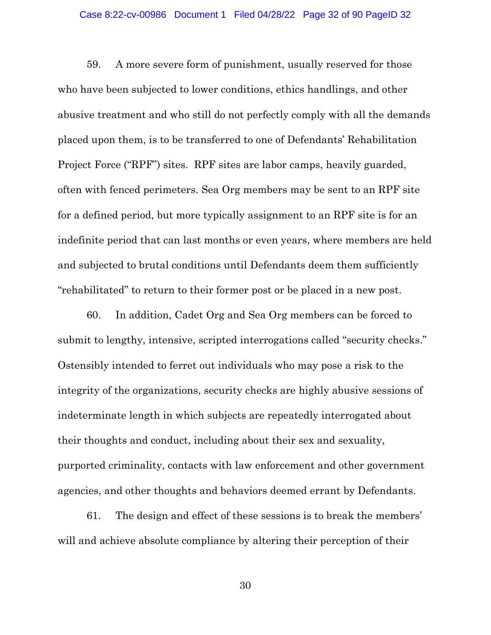#### Case 8:22-cv-00986 Document 1 Filed 04/28/22 Page 32 of 90 PageID 32

59. A more severe form of punishment, usually reserved for those who have been subjected to lower conditions, ethics handlings, and other abusive treatment and who still do not perfectly comply with all the demands placed upon them, is to be transferred to one of Defendants' Rehabilitation Project Force ("RPF") sites. RPF sites are labor camps, heavily guarded, often with fenced perimeters. Sea Org members may be sent to an RPF site for a defined period, but more typically assignment to an RPF site is for an indefinite period that can last months or even years, where members are held and subjected to brutal conditions until Defendants deem them sufficiently "rehabilitated" to return to their former post or be placed in a new post.

60. In addition, Cadet Org and Sea Org members can be forced to submit to lengthy, intensive, scripted interrogations called "security checks." Ostensibly intended to ferret out individuals who may pose a risk to the integrity of the organizations, security checks are highly abusive sessions of indeterminate length in which subjects are repeatedly interrogated about their thoughts and conduct, including about their sex and sexuality, purported criminality, contacts with law enforcement and other government agencies, and other thoughts and behaviors deemed errant by Defendants.

61. The design and effect of these sessions is to break the members' will and achieve absolute compliance by altering their perception of their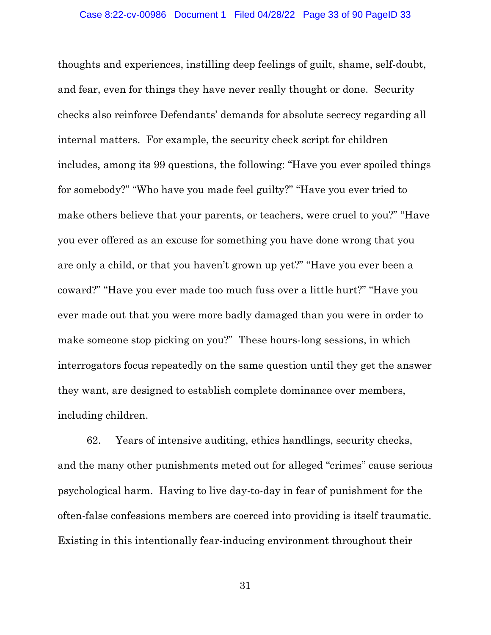thoughts and experiences, instilling deep feelings of guilt, shame, self-doubt, and fear, even for things they have never really thought or done. Security checks also reinforce Defendants' demands for absolute secrecy regarding all internal matters. For example, the security check script for children includes, among its 99 questions, the following: "Have you ever spoiled things for somebody?" "Who have you made feel guilty?" "Have you ever tried to make others believe that your parents, or teachers, were cruel to you?" "Have you ever offered as an excuse for something you have done wrong that you are only a child, or that you haven't grown up yet?" "Have you ever been a coward?" "Have you ever made too much fuss over a little hurt?" "Have you ever made out that you were more badly damaged than you were in order to make someone stop picking on you?" These hours-long sessions, in which interrogators focus repeatedly on the same question until they get the answer they want, are designed to establish complete dominance over members, including children.

62. Years of intensive auditing, ethics handlings, security checks, and the many other punishments meted out for alleged "crimes" cause serious psychological harm. Having to live day-to-day in fear of punishment for the often-false confessions members are coerced into providing is itself traumatic. Existing in this intentionally fear-inducing environment throughout their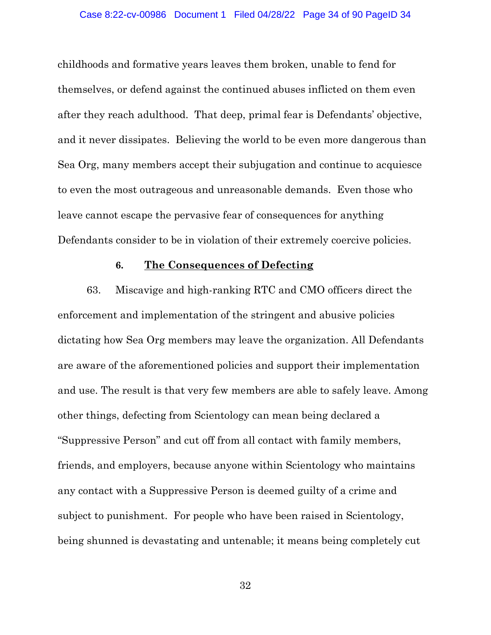childhoods and formative years leaves them broken, unable to fend for themselves, or defend against the continued abuses inflicted on them even after they reach adulthood. That deep, primal fear is Defendants' objective, and it never dissipates. Believing the world to be even more dangerous than Sea Org, many members accept their subjugation and continue to acquiesce to even the most outrageous and unreasonable demands. Even those who leave cannot escape the pervasive fear of consequences for anything Defendants consider to be in violation of their extremely coercive policies.

## **6. The Consequences of Defecting**

63. Miscavige and high-ranking RTC and CMO officers direct the enforcement and implementation of the stringent and abusive policies dictating how Sea Org members may leave the organization. All Defendants are aware of the aforementioned policies and support their implementation and use. The result is that very few members are able to safely leave. Among other things, defecting from Scientology can mean being declared a "Suppressive Person" and cut off from all contact with family members, friends, and employers, because anyone within Scientology who maintains any contact with a Suppressive Person is deemed guilty of a crime and subject to punishment. For people who have been raised in Scientology, being shunned is devastating and untenable; it means being completely cut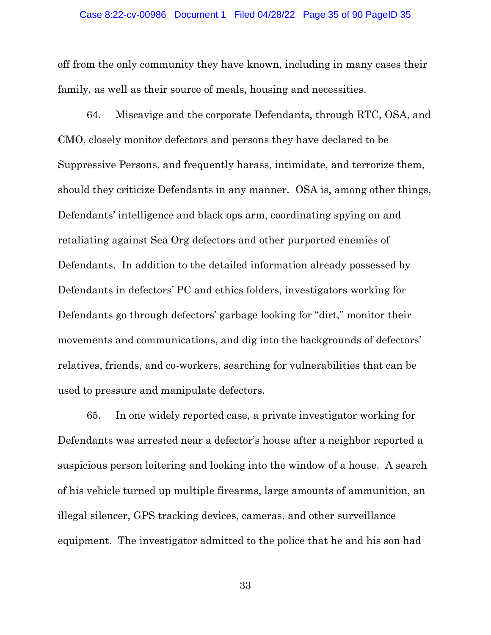#### Case 8:22-cv-00986 Document 1 Filed 04/28/22 Page 35 of 90 PageID 35

off from the only community they have known, including in many cases their family, as well as their source of meals, housing and necessities.

64. Miscavige and the corporate Defendants, through RTC, OSA, and CMO, closely monitor defectors and persons they have declared to be Suppressive Persons, and frequently harass, intimidate, and terrorize them, should they criticize Defendants in any manner. OSA is, among other things, Defendants' intelligence and black ops arm, coordinating spying on and retaliating against Sea Org defectors and other purported enemies of Defendants. In addition to the detailed information already possessed by Defendants in defectors' PC and ethics folders, investigators working for Defendants go through defectors' garbage looking for "dirt," monitor their movements and communications, and dig into the backgrounds of defectors' relatives, friends, and co-workers, searching for vulnerabilities that can be used to pressure and manipulate defectors.

65. In one widely reported case, a private investigator working for Defendants was arrested near a defector's house after a neighbor reported a suspicious person loitering and looking into the window of a house. A search of his vehicle turned up multiple firearms, large amounts of ammunition, an illegal silencer, GPS tracking devices, cameras, and other surveillance equipment. The investigator admitted to the police that he and his son had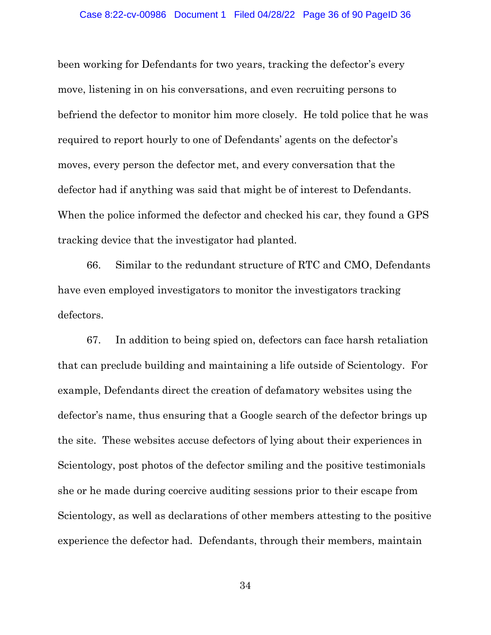been working for Defendants for two years, tracking the defector's every move, listening in on his conversations, and even recruiting persons to befriend the defector to monitor him more closely. He told police that he was required to report hourly to one of Defendants' agents on the defector's moves, every person the defector met, and every conversation that the defector had if anything was said that might be of interest to Defendants. When the police informed the defector and checked his car, they found a GPS tracking device that the investigator had planted.

66. Similar to the redundant structure of RTC and CMO, Defendants have even employed investigators to monitor the investigators tracking defectors.

67. In addition to being spied on, defectors can face harsh retaliation that can preclude building and maintaining a life outside of Scientology. For example, Defendants direct the creation of defamatory websites using the defector's name, thus ensuring that a Google search of the defector brings up the site. These websites accuse defectors of lying about their experiences in Scientology, post photos of the defector smiling and the positive testimonials she or he made during coercive auditing sessions prior to their escape from Scientology, as well as declarations of other members attesting to the positive experience the defector had. Defendants, through their members, maintain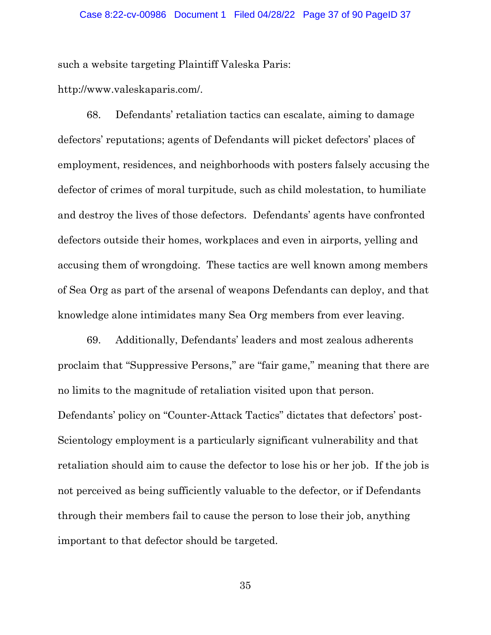such a website targeting Plaintiff Valeska Paris:

http://www.valeskaparis.com/.

68. Defendants' retaliation tactics can escalate, aiming to damage defectors' reputations; agents of Defendants will picket defectors' places of employment, residences, and neighborhoods with posters falsely accusing the defector of crimes of moral turpitude, such as child molestation, to humiliate and destroy the lives of those defectors. Defendants' agents have confronted defectors outside their homes, workplaces and even in airports, yelling and accusing them of wrongdoing. These tactics are well known among members of Sea Org as part of the arsenal of weapons Defendants can deploy, and that knowledge alone intimidates many Sea Org members from ever leaving.

69. Additionally, Defendants' leaders and most zealous adherents proclaim that "Suppressive Persons," are "fair game," meaning that there are no limits to the magnitude of retaliation visited upon that person. Defendants' policy on "Counter-Attack Tactics" dictates that defectors' post-Scientology employment is a particularly significant vulnerability and that retaliation should aim to cause the defector to lose his or her job. If the job is not perceived as being sufficiently valuable to the defector, or if Defendants through their members fail to cause the person to lose their job, anything important to that defector should be targeted.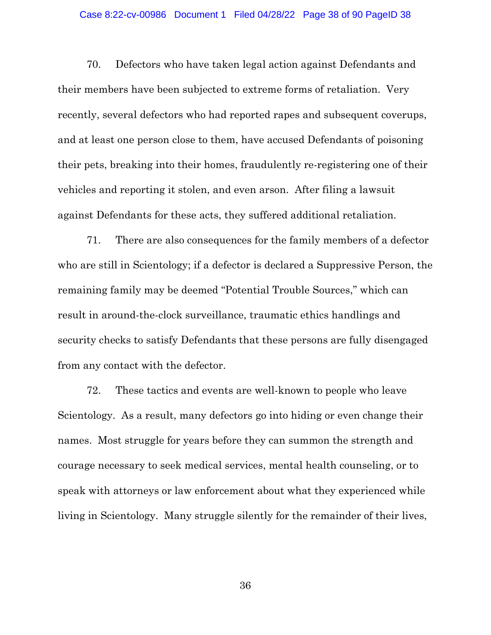### Case 8:22-cv-00986 Document 1 Filed 04/28/22 Page 38 of 90 PageID 38

70. Defectors who have taken legal action against Defendants and their members have been subjected to extreme forms of retaliation. Very recently, several defectors who had reported rapes and subsequent coverups, and at least one person close to them, have accused Defendants of poisoning their pets, breaking into their homes, fraudulently re-registering one of their vehicles and reporting it stolen, and even arson. After filing a lawsuit against Defendants for these acts, they suffered additional retaliation.

71. There are also consequences for the family members of a defector who are still in Scientology; if a defector is declared a Suppressive Person, the remaining family may be deemed "Potential Trouble Sources," which can result in around-the-clock surveillance, traumatic ethics handlings and security checks to satisfy Defendants that these persons are fully disengaged from any contact with the defector.

72. These tactics and events are well-known to people who leave Scientology. As a result, many defectors go into hiding or even change their names. Most struggle for years before they can summon the strength and courage necessary to seek medical services, mental health counseling, or to speak with attorneys or law enforcement about what they experienced while living in Scientology. Many struggle silently for the remainder of their lives,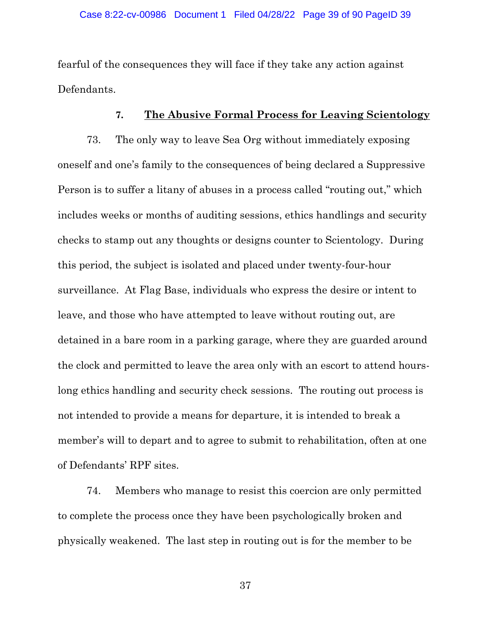fearful of the consequences they will face if they take any action against Defendants.

# **7. The Abusive Formal Process for Leaving Scientology**

73. The only way to leave Sea Org without immediately exposing oneself and one's family to the consequences of being declared a Suppressive Person is to suffer a litany of abuses in a process called "routing out," which includes weeks or months of auditing sessions, ethics handlings and security checks to stamp out any thoughts or designs counter to Scientology. During this period, the subject is isolated and placed under twenty-four-hour surveillance. At Flag Base, individuals who express the desire or intent to leave, and those who have attempted to leave without routing out, are detained in a bare room in a parking garage, where they are guarded around the clock and permitted to leave the area only with an escort to attend hourslong ethics handling and security check sessions. The routing out process is not intended to provide a means for departure, it is intended to break a member's will to depart and to agree to submit to rehabilitation, often at one of Defendants' RPF sites.

74. Members who manage to resist this coercion are only permitted to complete the process once they have been psychologically broken and physically weakened. The last step in routing out is for the member to be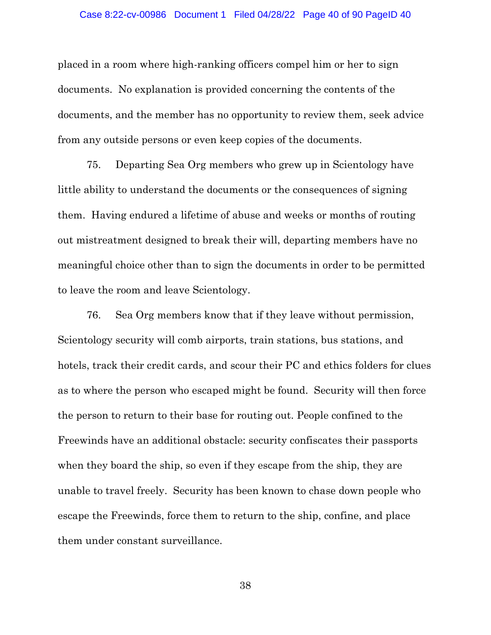### Case 8:22-cv-00986 Document 1 Filed 04/28/22 Page 40 of 90 PageID 40

placed in a room where high-ranking officers compel him or her to sign documents. No explanation is provided concerning the contents of the documents, and the member has no opportunity to review them, seek advice from any outside persons or even keep copies of the documents.

75. Departing Sea Org members who grew up in Scientology have little ability to understand the documents or the consequences of signing them. Having endured a lifetime of abuse and weeks or months of routing out mistreatment designed to break their will, departing members have no meaningful choice other than to sign the documents in order to be permitted to leave the room and leave Scientology.

76. Sea Org members know that if they leave without permission, Scientology security will comb airports, train stations, bus stations, and hotels, track their credit cards, and scour their PC and ethics folders for clues as to where the person who escaped might be found. Security will then force the person to return to their base for routing out. People confined to the Freewinds have an additional obstacle: security confiscates their passports when they board the ship, so even if they escape from the ship, they are unable to travel freely. Security has been known to chase down people who escape the Freewinds, force them to return to the ship, confine, and place them under constant surveillance.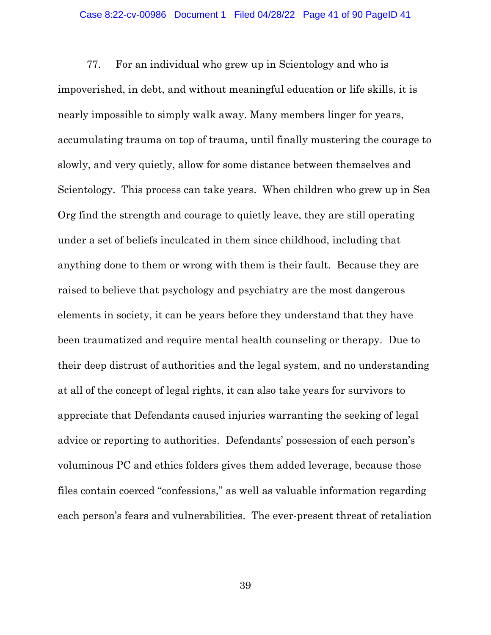### Case 8:22-cv-00986 Document 1 Filed 04/28/22 Page 41 of 90 PageID 41

77. For an individual who grew up in Scientology and who is impoverished, in debt, and without meaningful education or life skills, it is nearly impossible to simply walk away. Many members linger for years, accumulating trauma on top of trauma, until finally mustering the courage to slowly, and very quietly, allow for some distance between themselves and Scientology. This process can take years. When children who grew up in Sea Org find the strength and courage to quietly leave, they are still operating under a set of beliefs inculcated in them since childhood, including that anything done to them or wrong with them is their fault. Because they are raised to believe that psychology and psychiatry are the most dangerous elements in society, it can be years before they understand that they have been traumatized and require mental health counseling or therapy. Due to their deep distrust of authorities and the legal system, and no understanding at all of the concept of legal rights, it can also take years for survivors to appreciate that Defendants caused injuries warranting the seeking of legal advice or reporting to authorities. Defendants' possession of each person's voluminous PC and ethics folders gives them added leverage, because those files contain coerced "confessions," as well as valuable information regarding each person's fears and vulnerabilities. The ever-present threat of retaliation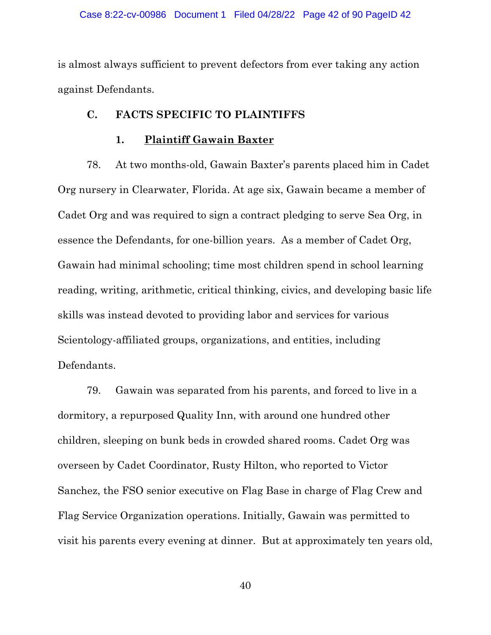### Case 8:22-cv-00986 Document 1 Filed 04/28/22 Page 42 of 90 PageID 42

is almost always sufficient to prevent defectors from ever taking any action against Defendants.

## **C. FACTS SPECIFIC TO PLAINTIFFS**

## **1. Plaintiff Gawain Baxter**

78. At two months-old, Gawain Baxter's parents placed him in Cadet Org nursery in Clearwater, Florida. At age six, Gawain became a member of Cadet Org and was required to sign a contract pledging to serve Sea Org, in essence the Defendants, for one-billion years. As a member of Cadet Org, Gawain had minimal schooling; time most children spend in school learning reading, writing, arithmetic, critical thinking, civics, and developing basic life skills was instead devoted to providing labor and services for various Scientology-affiliated groups, organizations, and entities, including Defendants.

79. Gawain was separated from his parents, and forced to live in a dormitory, a repurposed Quality Inn, with around one hundred other children, sleeping on bunk beds in crowded shared rooms. Cadet Org was overseen by Cadet Coordinator, Rusty Hilton, who reported to Victor Sanchez, the FSO senior executive on Flag Base in charge of Flag Crew and Flag Service Organization operations. Initially, Gawain was permitted to visit his parents every evening at dinner. But at approximately ten years old,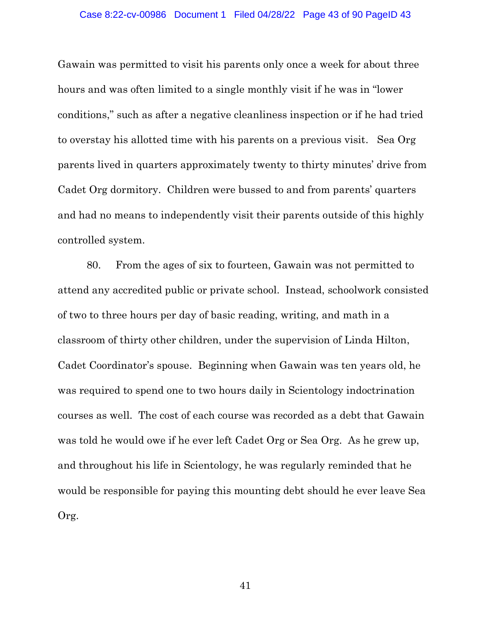Gawain was permitted to visit his parents only once a week for about three hours and was often limited to a single monthly visit if he was in "lower conditions," such as after a negative cleanliness inspection or if he had tried to overstay his allotted time with his parents on a previous visit. Sea Org parents lived in quarters approximately twenty to thirty minutes' drive from Cadet Org dormitory. Children were bussed to and from parents' quarters and had no means to independently visit their parents outside of this highly controlled system.

80. From the ages of six to fourteen, Gawain was not permitted to attend any accredited public or private school. Instead, schoolwork consisted of two to three hours per day of basic reading, writing, and math in a classroom of thirty other children, under the supervision of Linda Hilton, Cadet Coordinator's spouse. Beginning when Gawain was ten years old, he was required to spend one to two hours daily in Scientology indoctrination courses as well. The cost of each course was recorded as a debt that Gawain was told he would owe if he ever left Cadet Org or Sea Org. As he grew up, and throughout his life in Scientology, he was regularly reminded that he would be responsible for paying this mounting debt should he ever leave Sea Org.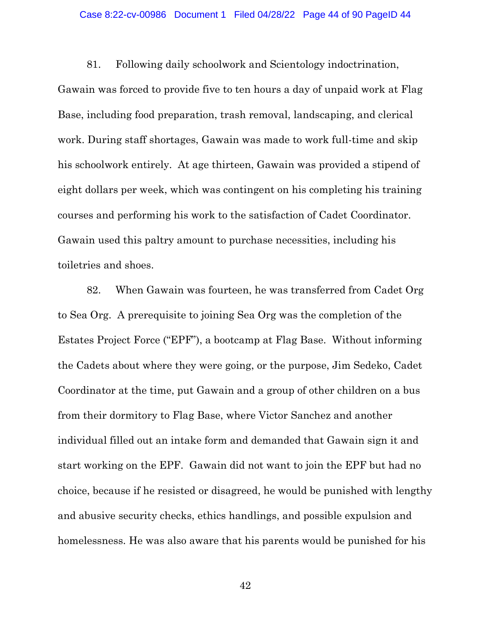### Case 8:22-cv-00986 Document 1 Filed 04/28/22 Page 44 of 90 PageID 44

81. Following daily schoolwork and Scientology indoctrination,

Gawain was forced to provide five to ten hours a day of unpaid work at Flag Base, including food preparation, trash removal, landscaping, and clerical work. During staff shortages, Gawain was made to work full-time and skip his schoolwork entirely. At age thirteen, Gawain was provided a stipend of eight dollars per week, which was contingent on his completing his training courses and performing his work to the satisfaction of Cadet Coordinator. Gawain used this paltry amount to purchase necessities, including his toiletries and shoes.

82. When Gawain was fourteen, he was transferred from Cadet Org to Sea Org. A prerequisite to joining Sea Org was the completion of the Estates Project Force ("EPF"), a bootcamp at Flag Base. Without informing the Cadets about where they were going, or the purpose, Jim Sedeko, Cadet Coordinator at the time, put Gawain and a group of other children on a bus from their dormitory to Flag Base, where Victor Sanchez and another individual filled out an intake form and demanded that Gawain sign it and start working on the EPF. Gawain did not want to join the EPF but had no choice, because if he resisted or disagreed, he would be punished with lengthy and abusive security checks, ethics handlings, and possible expulsion and homelessness. He was also aware that his parents would be punished for his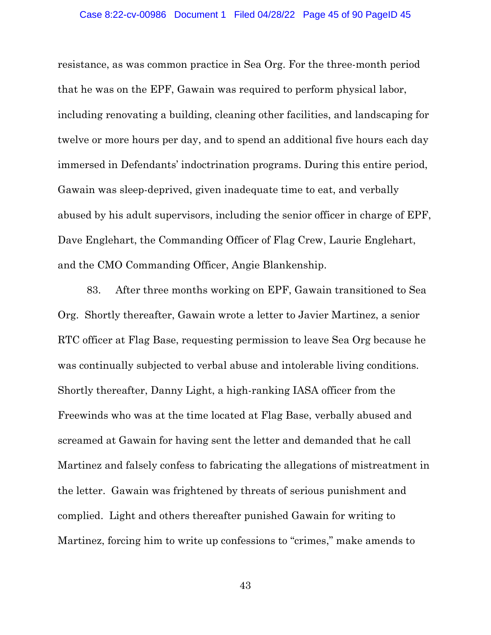### Case 8:22-cv-00986 Document 1 Filed 04/28/22 Page 45 of 90 PageID 45

resistance, as was common practice in Sea Org. For the three-month period that he was on the EPF, Gawain was required to perform physical labor, including renovating a building, cleaning other facilities, and landscaping for twelve or more hours per day, and to spend an additional five hours each day immersed in Defendants' indoctrination programs. During this entire period, Gawain was sleep-deprived, given inadequate time to eat, and verbally abused by his adult supervisors, including the senior officer in charge of EPF, Dave Englehart, the Commanding Officer of Flag Crew, Laurie Englehart, and the CMO Commanding Officer, Angie Blankenship.

83. After three months working on EPF, Gawain transitioned to Sea Org. Shortly thereafter, Gawain wrote a letter to Javier Martinez, a senior RTC officer at Flag Base, requesting permission to leave Sea Org because he was continually subjected to verbal abuse and intolerable living conditions. Shortly thereafter, Danny Light, a high-ranking IASA officer from the Freewinds who was at the time located at Flag Base, verbally abused and screamed at Gawain for having sent the letter and demanded that he call Martinez and falsely confess to fabricating the allegations of mistreatment in the letter. Gawain was frightened by threats of serious punishment and complied. Light and others thereafter punished Gawain for writing to Martinez, forcing him to write up confessions to "crimes," make amends to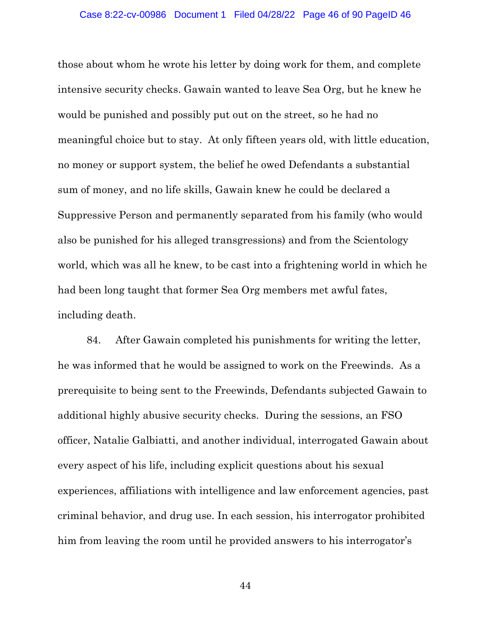those about whom he wrote his letter by doing work for them, and complete intensive security checks. Gawain wanted to leave Sea Org, but he knew he would be punished and possibly put out on the street, so he had no meaningful choice but to stay. At only fifteen years old, with little education, no money or support system, the belief he owed Defendants a substantial sum of money, and no life skills, Gawain knew he could be declared a Suppressive Person and permanently separated from his family (who would also be punished for his alleged transgressions) and from the Scientology world, which was all he knew, to be cast into a frightening world in which he had been long taught that former Sea Org members met awful fates, including death.

84. After Gawain completed his punishments for writing the letter, he was informed that he would be assigned to work on the Freewinds. As a prerequisite to being sent to the Freewinds, Defendants subjected Gawain to additional highly abusive security checks. During the sessions, an FSO officer, Natalie Galbiatti, and another individual, interrogated Gawain about every aspect of his life, including explicit questions about his sexual experiences, affiliations with intelligence and law enforcement agencies, past criminal behavior, and drug use. In each session, his interrogator prohibited him from leaving the room until he provided answers to his interrogator's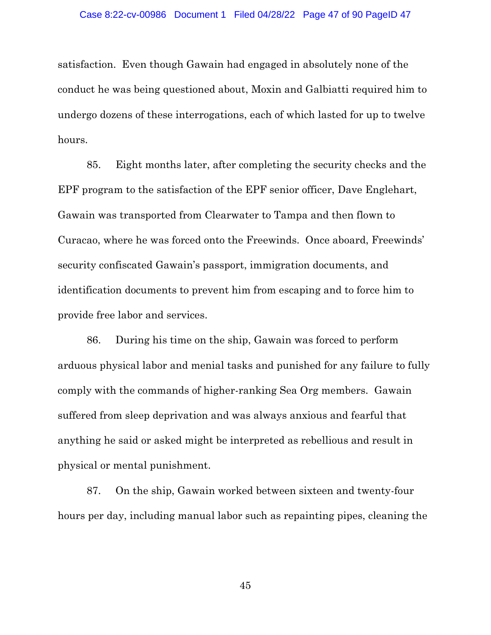satisfaction. Even though Gawain had engaged in absolutely none of the conduct he was being questioned about, Moxin and Galbiatti required him to undergo dozens of these interrogations, each of which lasted for up to twelve hours.

85. Eight months later, after completing the security checks and the EPF program to the satisfaction of the EPF senior officer, Dave Englehart, Gawain was transported from Clearwater to Tampa and then flown to Curacao, where he was forced onto the Freewinds. Once aboard, Freewinds' security confiscated Gawain's passport, immigration documents, and identification documents to prevent him from escaping and to force him to provide free labor and services.

86. During his time on the ship, Gawain was forced to perform arduous physical labor and menial tasks and punished for any failure to fully comply with the commands of higher-ranking Sea Org members. Gawain suffered from sleep deprivation and was always anxious and fearful that anything he said or asked might be interpreted as rebellious and result in physical or mental punishment.

87. On the ship, Gawain worked between sixteen and twenty-four hours per day, including manual labor such as repainting pipes, cleaning the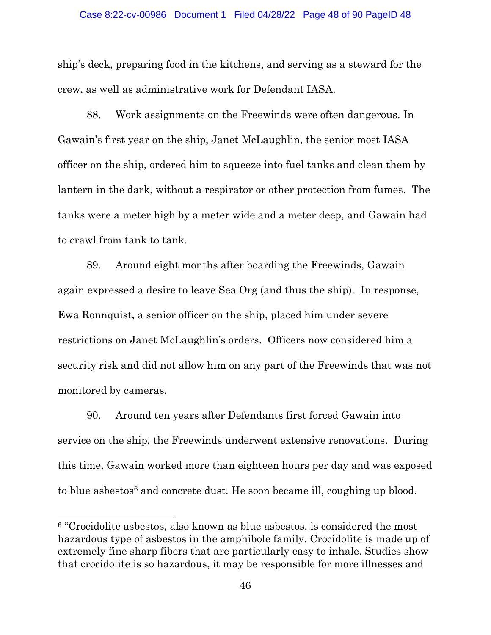### Case 8:22-cv-00986 Document 1 Filed 04/28/22 Page 48 of 90 PageID 48

ship's deck, preparing food in the kitchens, and serving as a steward for the crew, as well as administrative work for Defendant IASA.

88. Work assignments on the Freewinds were often dangerous. In Gawain's first year on the ship, Janet McLaughlin, the senior most IASA officer on the ship, ordered him to squeeze into fuel tanks and clean them by lantern in the dark, without a respirator or other protection from fumes. The tanks were a meter high by a meter wide and a meter deep, and Gawain had to crawl from tank to tank.

89. Around eight months after boarding the Freewinds, Gawain again expressed a desire to leave Sea Org (and thus the ship). In response, Ewa Ronnquist, a senior officer on the ship, placed him under severe restrictions on Janet McLaughlin's orders. Officers now considered him a security risk and did not allow him on any part of the Freewinds that was not monitored by cameras.

90. Around ten years after Defendants first forced Gawain into service on the ship, the Freewinds underwent extensive renovations. During this time, Gawain worked more than eighteen hours per day and was exposed to blue aspestos $6$  and concrete dust. He soon became ill, coughing up blood.

<sup>&</sup>lt;sup>6</sup> "Crocidolite asbestos, also known as blue asbestos, is considered the most hazardous type of asbestos in the amphibole family. Crocidolite is made up of extremely fine sharp fibers that are particularly easy to inhale. Studies show that crocidolite is so hazardous, it may be responsible for more illnesses and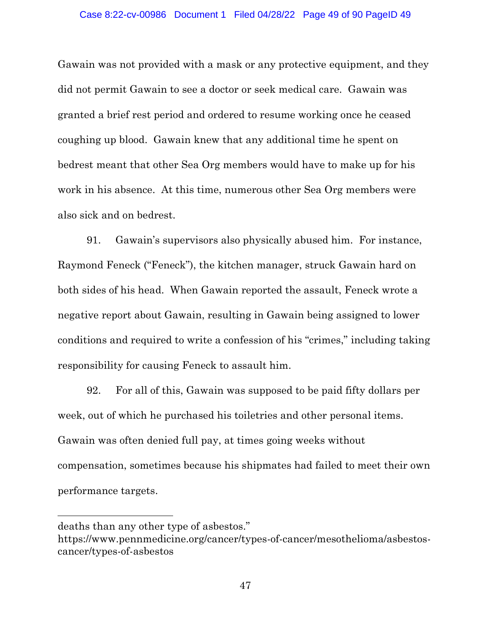Gawain was not provided with a mask or any protective equipment, and they did not permit Gawain to see a doctor or seek medical care. Gawain was granted a brief rest period and ordered to resume working once he ceased coughing up blood. Gawain knew that any additional time he spent on bedrest meant that other Sea Org members would have to make up for his work in his absence. At this time, numerous other Sea Org members were also sick and on bedrest.

91. Gawain's supervisors also physically abused him. For instance, Raymond Feneck ("Feneck"), the kitchen manager, struck Gawain hard on both sides of his head. When Gawain reported the assault, Feneck wrote a negative report about Gawain, resulting in Gawain being assigned to lower conditions and required to write a confession of his "crimes," including taking responsibility for causing Feneck to assault him.

92. For all of this, Gawain was supposed to be paid fifty dollars per week, out of which he purchased his toiletries and other personal items. Gawain was often denied full pay, at times going weeks without compensation, sometimes because his shipmates had failed to meet their own performance targets.

deaths than any other type of asbestos."

https://www.pennmedicine.org/cancer/types-of-cancer/mesothelioma/asbestoscancer/types-of-asbestos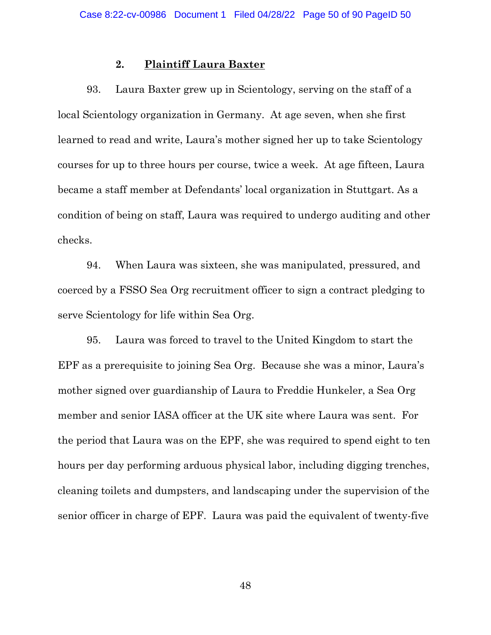## **2. Plaintiff Laura Baxter**

93. Laura Baxter grew up in Scientology, serving on the staff of a local Scientology organization in Germany. At age seven, when she first learned to read and write, Laura's mother signed her up to take Scientology courses for up to three hours per course, twice a week. At age fifteen, Laura became a staff member at Defendants' local organization in Stuttgart. As a condition of being on staff, Laura was required to undergo auditing and other checks.

94. When Laura was sixteen, she was manipulated, pressured, and coerced by a FSSO Sea Org recruitment officer to sign a contract pledging to serve Scientology for life within Sea Org.

95. Laura was forced to travel to the United Kingdom to start the EPF as a prerequisite to joining Sea Org. Because she was a minor, Laura's mother signed over guardianship of Laura to Freddie Hunkeler, a Sea Org member and senior IASA officer at the UK site where Laura was sent. For the period that Laura was on the EPF, she was required to spend eight to ten hours per day performing arduous physical labor, including digging trenches, cleaning toilets and dumpsters, and landscaping under the supervision of the senior officer in charge of EPF. Laura was paid the equivalent of twenty-five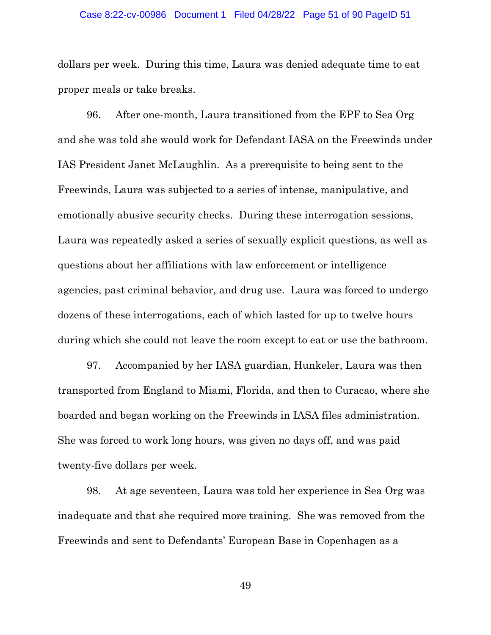### Case 8:22-cv-00986 Document 1 Filed 04/28/22 Page 51 of 90 PageID 51

dollars per week. During this time, Laura was denied adequate time to eat proper meals or take breaks.

96. After one-month, Laura transitioned from the EPF to Sea Org and she was told she would work for Defendant IASA on the Freewinds under IAS President Janet McLaughlin. As a prerequisite to being sent to the Freewinds, Laura was subjected to a series of intense, manipulative, and emotionally abusive security checks. During these interrogation sessions, Laura was repeatedly asked a series of sexually explicit questions, as well as questions about her affiliations with law enforcement or intelligence agencies, past criminal behavior, and drug use. Laura was forced to undergo dozens of these interrogations, each of which lasted for up to twelve hours during which she could not leave the room except to eat or use the bathroom.

97. Accompanied by her IASA guardian, Hunkeler, Laura was then transported from England to Miami, Florida, and then to Curacao, where she boarded and began working on the Freewinds in IASA files administration. She was forced to work long hours, was given no days off, and was paid twenty-five dollars per week.

98. At age seventeen, Laura was told her experience in Sea Org was inadequate and that she required more training. She was removed from the Freewinds and sent to Defendants' European Base in Copenhagen as a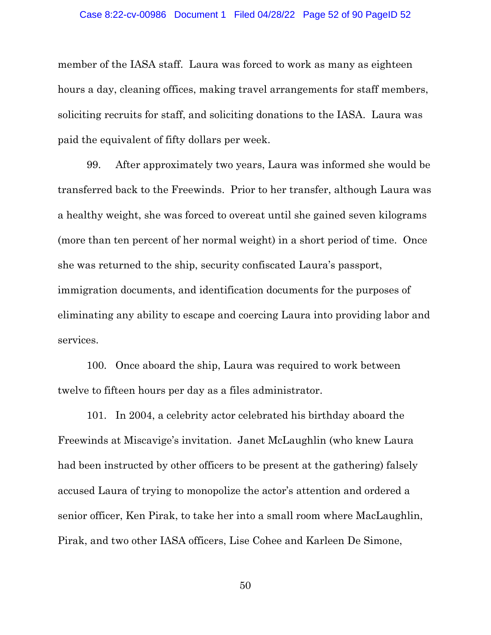# Case 8:22-cv-00986 Document 1 Filed 04/28/22 Page 52 of 90 PageID 52

member of the IASA staff. Laura was forced to work as many as eighteen hours a day, cleaning offices, making travel arrangements for staff members, soliciting recruits for staff, and soliciting donations to the IASA. Laura was paid the equivalent of fifty dollars per week.

99. After approximately two years, Laura was informed she would be transferred back to the Freewinds. Prior to her transfer, although Laura was a healthy weight, she was forced to overeat until she gained seven kilograms (more than ten percent of her normal weight) in a short period of time. Once she was returned to the ship, security confiscated Laura's passport, immigration documents, and identification documents for the purposes of eliminating any ability to escape and coercing Laura into providing labor and services.

100. Once aboard the ship, Laura was required to work between twelve to fifteen hours per day as a files administrator.

101. In 2004, a celebrity actor celebrated his birthday aboard the Freewinds at Miscavige's invitation. Janet McLaughlin (who knew Laura had been instructed by other officers to be present at the gathering) falsely accused Laura of trying to monopolize the actor's attention and ordered a senior officer, Ken Pirak, to take her into a small room where MacLaughlin, Pirak, and two other IASA officers, Lise Cohee and Karleen De Simone,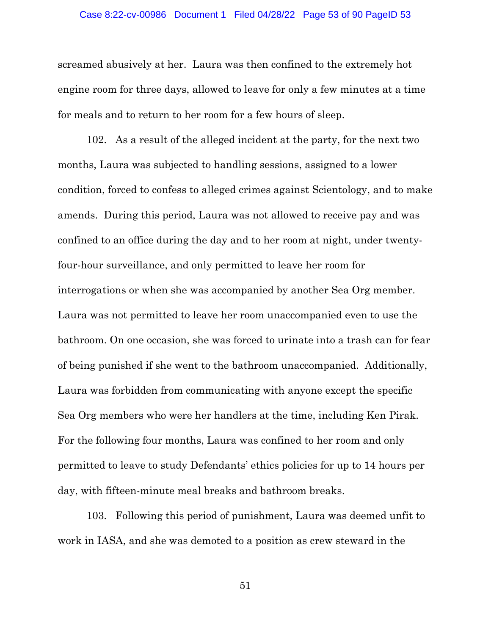### Case 8:22-cv-00986 Document 1 Filed 04/28/22 Page 53 of 90 PageID 53

screamed abusively at her. Laura was then confined to the extremely hot engine room for three days, allowed to leave for only a few minutes at a time for meals and to return to her room for a few hours of sleep.

102. As a result of the alleged incident at the party, for the next two months, Laura was subjected to handling sessions, assigned to a lower condition, forced to confess to alleged crimes against Scientology, and to make amends. During this period, Laura was not allowed to receive pay and was confined to an office during the day and to her room at night, under twentyfour-hour surveillance, and only permitted to leave her room for interrogations or when she was accompanied by another Sea Org member. Laura was not permitted to leave her room unaccompanied even to use the bathroom. On one occasion, she was forced to urinate into a trash can for fear of being punished if she went to the bathroom unaccompanied. Additionally, Laura was forbidden from communicating with anyone except the specific Sea Org members who were her handlers at the time, including Ken Pirak. For the following four months, Laura was confined to her room and only permitted to leave to study Defendants' ethics policies for up to 14 hours per day, with fifteen-minute meal breaks and bathroom breaks.

103. Following this period of punishment, Laura was deemed unfit to work in IASA, and she was demoted to a position as crew steward in the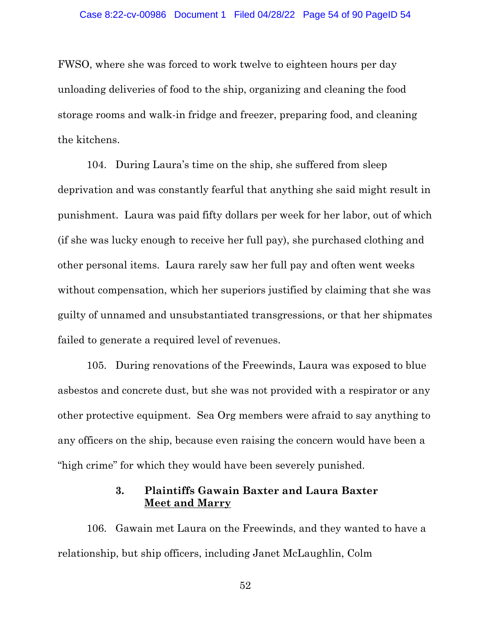### Case 8:22-cv-00986 Document 1 Filed 04/28/22 Page 54 of 90 PageID 54

FWSO, where she was forced to work twelve to eighteen hours per day unloading deliveries of food to the ship, organizing and cleaning the food storage rooms and walk-in fridge and freezer, preparing food, and cleaning the kitchens.

104. During Laura's time on the ship, she suffered from sleep deprivation and was constantly fearful that anything she said might result in punishment. Laura was paid fifty dollars per week for her labor, out of which (if she was lucky enough to receive her full pay), she purchased clothing and other personal items. Laura rarely saw her full pay and often went weeks without compensation, which her superiors justified by claiming that she was guilty of unnamed and unsubstantiated transgressions, or that her shipmates failed to generate a required level of revenues.

105. During renovations of the Freewinds, Laura was exposed to blue asbestos and concrete dust, but she was not provided with a respirator or any other protective equipment. Sea Org members were afraid to say anything to any officers on the ship, because even raising the concern would have been a "high crime" for which they would have been severely punished.

# **3. Plaintiffs Gawain Baxter and Laura Baxter Meet and Marry**

106. Gawain met Laura on the Freewinds, and they wanted to have a relationship, but ship officers, including Janet McLaughlin, Colm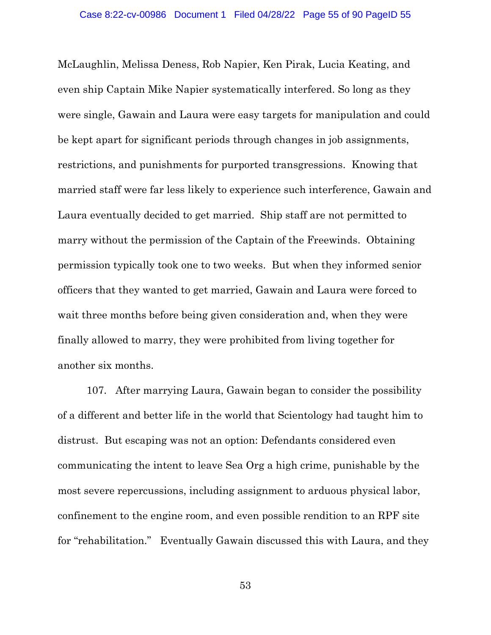McLaughlin, Melissa Deness, Rob Napier, Ken Pirak, Lucia Keating, and even ship Captain Mike Napier systematically interfered. So long as they were single, Gawain and Laura were easy targets for manipulation and could be kept apart for significant periods through changes in job assignments, restrictions, and punishments for purported transgressions. Knowing that married staff were far less likely to experience such interference, Gawain and Laura eventually decided to get married. Ship staff are not permitted to marry without the permission of the Captain of the Freewinds. Obtaining permission typically took one to two weeks. But when they informed senior officers that they wanted to get married, Gawain and Laura were forced to wait three months before being given consideration and, when they were finally allowed to marry, they were prohibited from living together for another six months.

107. After marrying Laura, Gawain began to consider the possibility of a different and better life in the world that Scientology had taught him to distrust. But escaping was not an option: Defendants considered even communicating the intent to leave Sea Org a high crime, punishable by the most severe repercussions, including assignment to arduous physical labor, confinement to the engine room, and even possible rendition to an RPF site for "rehabilitation." Eventually Gawain discussed this with Laura, and they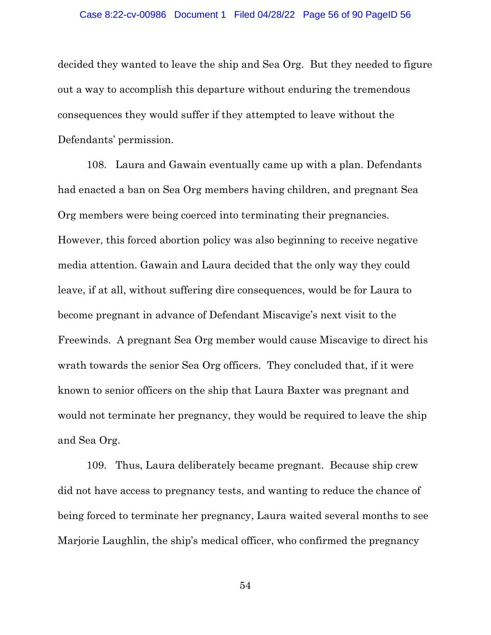decided they wanted to leave the ship and Sea Org. But they needed to figure out a way to accomplish this departure without enduring the tremendous consequences they would suffer if they attempted to leave without the Defendants' permission.

108. Laura and Gawain eventually came up with a plan. Defendants had enacted a ban on Sea Org members having children, and pregnant Sea Org members were being coerced into terminating their pregnancies. However, this forced abortion policy was also beginning to receive negative media attention. Gawain and Laura decided that the only way they could leave, if at all, without suffering dire consequences, would be for Laura to become pregnant in advance of Defendant Miscavige's next visit to the Freewinds. A pregnant Sea Org member would cause Miscavige to direct his wrath towards the senior Sea Org officers. They concluded that, if it were known to senior officers on the ship that Laura Baxter was pregnant and would not terminate her pregnancy, they would be required to leave the ship and Sea Org.

109. Thus, Laura deliberately became pregnant. Because ship crew did not have access to pregnancy tests, and wanting to reduce the chance of being forced to terminate her pregnancy, Laura waited several months to see Marjorie Laughlin, the ship's medical officer, who confirmed the pregnancy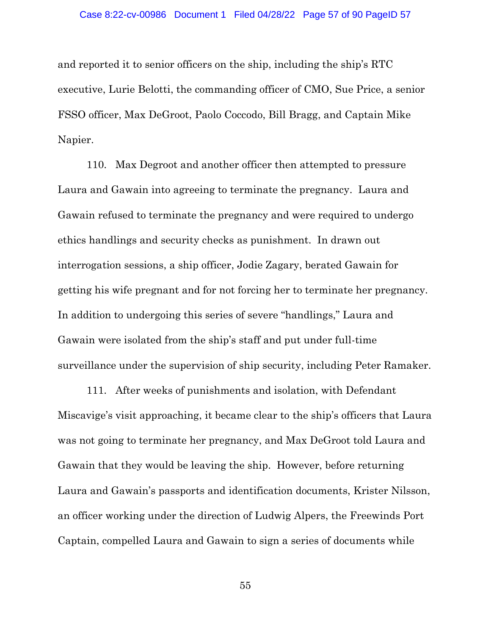and reported it to senior officers on the ship, including the ship's RTC executive, Lurie Belotti, the commanding officer of CMO, Sue Price, a senior FSSO officer, Max DeGroot, Paolo Coccodo, Bill Bragg, and Captain Mike Napier.

110. Max Degroot and another officer then attempted to pressure Laura and Gawain into agreeing to terminate the pregnancy. Laura and Gawain refused to terminate the pregnancy and were required to undergo ethics handlings and security checks as punishment. In drawn out interrogation sessions, a ship officer, Jodie Zagary, berated Gawain for getting his wife pregnant and for not forcing her to terminate her pregnancy. In addition to undergoing this series of severe "handlings," Laura and Gawain were isolated from the ship's staff and put under full-time surveillance under the supervision of ship security, including Peter Ramaker.

111. After weeks of punishments and isolation, with Defendant Miscavige's visit approaching, it became clear to the ship's officers that Laura was not going to terminate her pregnancy, and Max DeGroot told Laura and Gawain that they would be leaving the ship. However, before returning Laura and Gawain's passports and identification documents, Krister Nilsson, an officer working under the direction of Ludwig Alpers, the Freewinds Port Captain, compelled Laura and Gawain to sign a series of documents while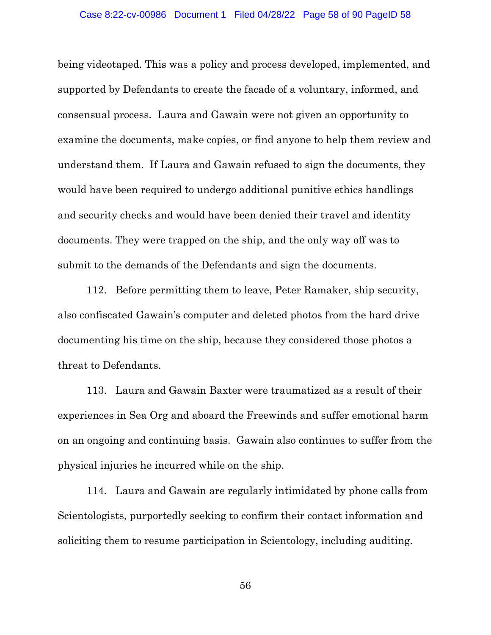### Case 8:22-cv-00986 Document 1 Filed 04/28/22 Page 58 of 90 PageID 58

being videotaped. This was a policy and process developed, implemented, and supported by Defendants to create the facade of a voluntary, informed, and consensual process. Laura and Gawain were not given an opportunity to examine the documents, make copies, or find anyone to help them review and understand them. If Laura and Gawain refused to sign the documents, they would have been required to undergo additional punitive ethics handlings and security checks and would have been denied their travel and identity documents. They were trapped on the ship, and the only way off was to submit to the demands of the Defendants and sign the documents.

112. Before permitting them to leave, Peter Ramaker, ship security, also confiscated Gawain's computer and deleted photos from the hard drive documenting his time on the ship, because they considered those photos a threat to Defendants.

113. Laura and Gawain Baxter were traumatized as a result of their experiences in Sea Org and aboard the Freewinds and suffer emotional harm on an ongoing and continuing basis. Gawain also continues to suffer from the physical injuries he incurred while on the ship.

114. Laura and Gawain are regularly intimidated by phone calls from Scientologists, purportedly seeking to confirm their contact information and soliciting them to resume participation in Scientology, including auditing.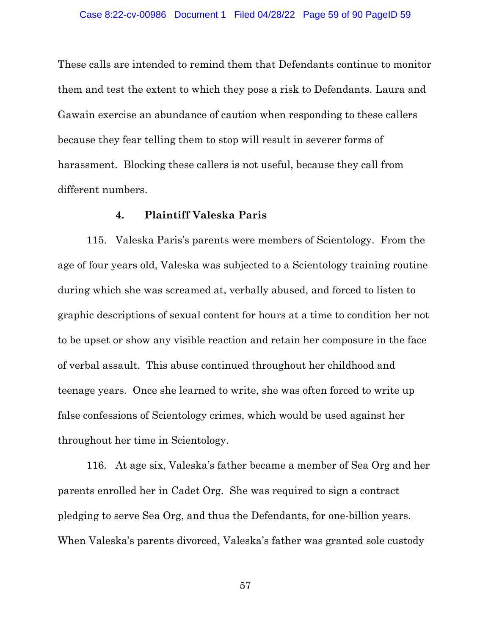These calls are intended to remind them that Defendants continue to monitor them and test the extent to which they pose a risk to Defendants. Laura and Gawain exercise an abundance of caution when responding to these callers because they fear telling them to stop will result in severer forms of harassment. Blocking these callers is not useful, because they call from different numbers.

## **4. Plaintiff Valeska Paris**

115. Valeska Paris's parents were members of Scientology. From the age of four years old, Valeska was subjected to a Scientology training routine during which she was screamed at, verbally abused, and forced to listen to graphic descriptions of sexual content for hours at a time to condition her not to be upset or show any visible reaction and retain her composure in the face of verbal assault. This abuse continued throughout her childhood and teenage years. Once she learned to write, she was often forced to write up false confessions of Scientology crimes, which would be used against her throughout her time in Scientology.

116. At age six, Valeska's father became a member of Sea Org and her parents enrolled her in Cadet Org. She was required to sign a contract pledging to serve Sea Org, and thus the Defendants, for one-billion years. When Valeska's parents divorced, Valeska's father was granted sole custody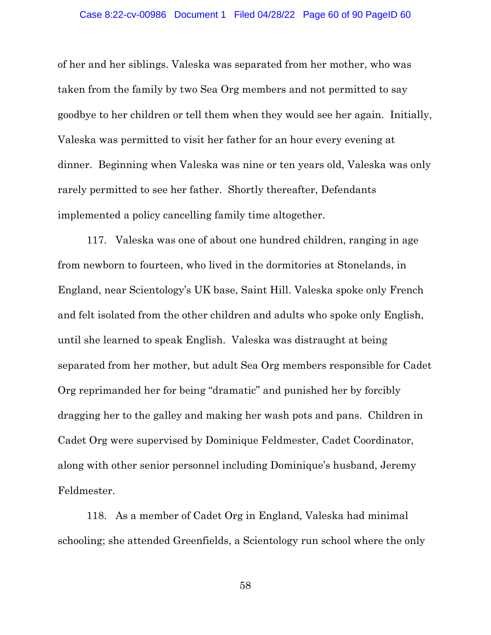### Case 8:22-cv-00986 Document 1 Filed 04/28/22 Page 60 of 90 PageID 60

of her and her siblings. Valeska was separated from her mother, who was taken from the family by two Sea Org members and not permitted to say goodbye to her children or tell them when they would see her again. Initially, Valeska was permitted to visit her father for an hour every evening at dinner. Beginning when Valeska was nine or ten years old, Valeska was only rarely permitted to see her father. Shortly thereafter, Defendants implemented a policy cancelling family time altogether.

117. Valeska was one of about one hundred children, ranging in age from newborn to fourteen, who lived in the dormitories at Stonelands, in England, near Scientology's UK base, Saint Hill. Valeska spoke only French and felt isolated from the other children and adults who spoke only English, until she learned to speak English. Valeska was distraught at being separated from her mother, but adult Sea Org members responsible for Cadet Org reprimanded her for being "dramatic" and punished her by forcibly dragging her to the galley and making her wash pots and pans. Children in Cadet Org were supervised by Dominique Feldmester, Cadet Coordinator, along with other senior personnel including Dominique's husband, Jeremy Feldmester.

118. As a member of Cadet Org in England, Valeska had minimal schooling; she attended Greenfields, a Scientology run school where the only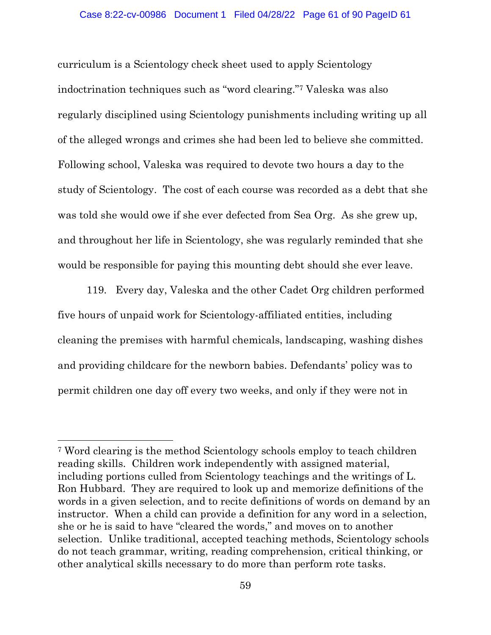### Case 8:22-cv-00986 Document 1 Filed 04/28/22 Page 61 of 90 PageID 61

curriculum is a Scientology check sheet used to apply Scientology indoctrination techniques such as "word clearing." <sup>7</sup> Valeska was also regularly disciplined using Scientology punishments including writing up all of the alleged wrongs and crimes she had been led to believe she committed. Following school, Valeska was required to devote two hours a day to the study of Scientology. The cost of each course was recorded as a debt that she was told she would owe if she ever defected from Sea Org. As she grew up, and throughout her life in Scientology, she was regularly reminded that she would be responsible for paying this mounting debt should she ever leave.

119. Every day, Valeska and the other Cadet Org children performed five hours of unpaid work for Scientology-affiliated entities, including cleaning the premises with harmful chemicals, landscaping, washing dishes and providing childcare for the newborn babies. Defendants' policy was to permit children one day off every two weeks, and only if they were not in

<sup>7</sup> Word clearing is the method Scientology schools employ to teach children reading skills. Children work independently with assigned material, including portions culled from Scientology teachings and the writings of L. Ron Hubbard. They are required to look up and memorize definitions of the words in a given selection, and to recite definitions of words on demand by an instructor. When a child can provide a definition for any word in a selection, she or he is said to have "cleared the words," and moves on to another selection. Unlike traditional, accepted teaching methods, Scientology schools do not teach grammar, writing, reading comprehension, critical thinking, or other analytical skills necessary to do more than perform rote tasks.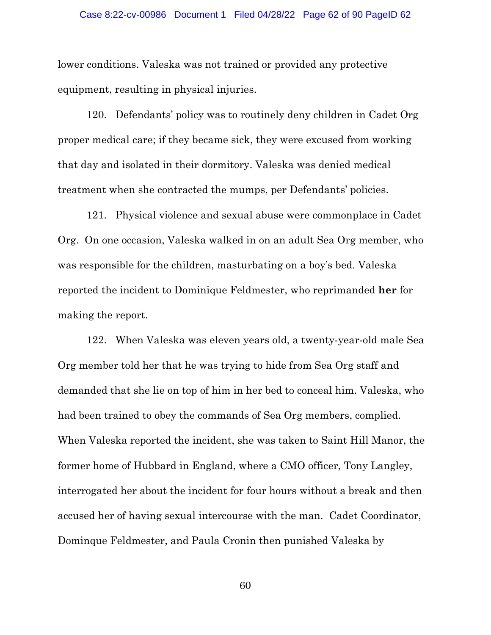### Case 8:22-cv-00986 Document 1 Filed 04/28/22 Page 62 of 90 PageID 62

lower conditions. Valeska was not trained or provided any protective equipment, resulting in physical injuries.

120. Defendants' policy was to routinely deny children in Cadet Org proper medical care; if they became sick, they were excused from working that day and isolated in their dormitory. Valeska was denied medical treatment when she contracted the mumps, per Defendants' policies.

121. Physical violence and sexual abuse were commonplace in Cadet Org. On one occasion, Valeska walked in on an adult Sea Org member, who was responsible for the children, masturbating on a boy's bed. Valeska reported the incident to Dominique Feldmester, who reprimanded **her** for making the report.

122. When Valeska was eleven years old, a twenty-year-old male Sea Org member told her that he was trying to hide from Sea Org staff and demanded that she lie on top of him in her bed to conceal him. Valeska, who had been trained to obey the commands of Sea Org members, complied. When Valeska reported the incident, she was taken to Saint Hill Manor, the former home of Hubbard in England, where a CMO officer, Tony Langley, interrogated her about the incident for four hours without a break and then accused her of having sexual intercourse with the man. Cadet Coordinator, Dominque Feldmester, and Paula Cronin then punished Valeska by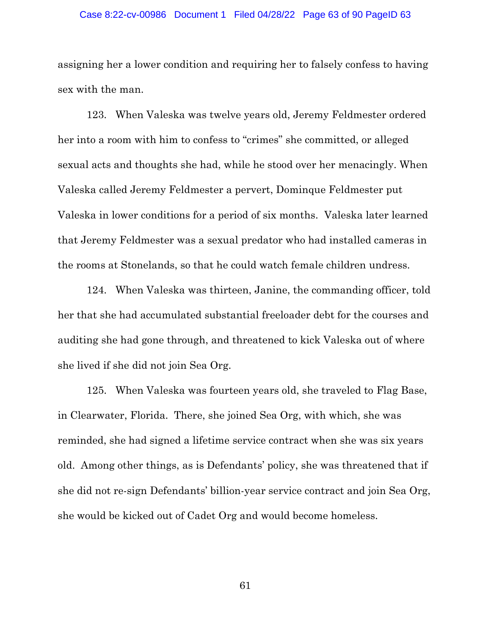### Case 8:22-cv-00986 Document 1 Filed 04/28/22 Page 63 of 90 PageID 63

assigning her a lower condition and requiring her to falsely confess to having sex with the man.

123. When Valeska was twelve years old, Jeremy Feldmester ordered her into a room with him to confess to "crimes" she committed, or alleged sexual acts and thoughts she had, while he stood over her menacingly. When Valeska called Jeremy Feldmester a pervert, Dominque Feldmester put Valeska in lower conditions for a period of six months. Valeska later learned that Jeremy Feldmester was a sexual predator who had installed cameras in the rooms at Stonelands, so that he could watch female children undress.

124. When Valeska was thirteen, Janine, the commanding officer, told her that she had accumulated substantial freeloader debt for the courses and auditing she had gone through, and threatened to kick Valeska out of where she lived if she did not join Sea Org.

125. When Valeska was fourteen years old, she traveled to Flag Base, in Clearwater, Florida. There, she joined Sea Org, with which, she was reminded, she had signed a lifetime service contract when she was six years old. Among other things, as is Defendants' policy, she was threatened that if she did not re-sign Defendants' billion-year service contract and join Sea Org, she would be kicked out of Cadet Org and would become homeless.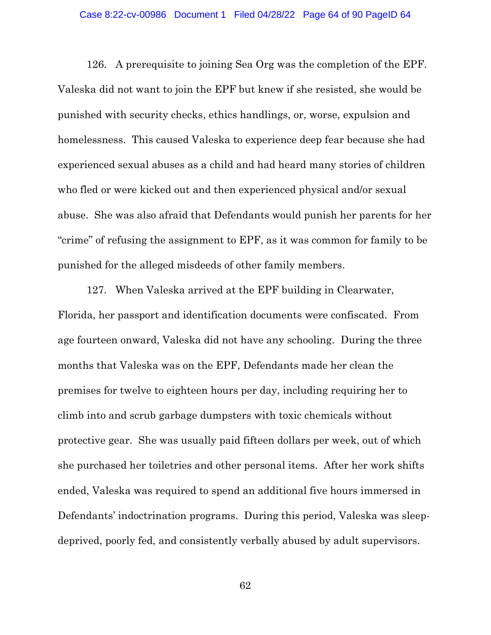### Case 8:22-cv-00986 Document 1 Filed 04/28/22 Page 64 of 90 PageID 64

126. A prerequisite to joining Sea Org was the completion of the EPF. Valeska did not want to join the EPF but knew if she resisted, she would be punished with security checks, ethics handlings, or, worse, expulsion and homelessness. This caused Valeska to experience deep fear because she had experienced sexual abuses as a child and had heard many stories of children who fled or were kicked out and then experienced physical and/or sexual abuse. She was also afraid that Defendants would punish her parents for her "crime" of refusing the assignment to EPF, as it was common for family to be punished for the alleged misdeeds of other family members.

127. When Valeska arrived at the EPF building in Clearwater, Florida, her passport and identification documents were confiscated. From age fourteen onward, Valeska did not have any schooling. During the three months that Valeska was on the EPF, Defendants made her clean the premises for twelve to eighteen hours per day, including requiring her to climb into and scrub garbage dumpsters with toxic chemicals without protective gear. She was usually paid fifteen dollars per week, out of which she purchased her toiletries and other personal items. After her work shifts ended, Valeska was required to spend an additional five hours immersed in Defendants' indoctrination programs. During this period, Valeska was sleepdeprived, poorly fed, and consistently verbally abused by adult supervisors.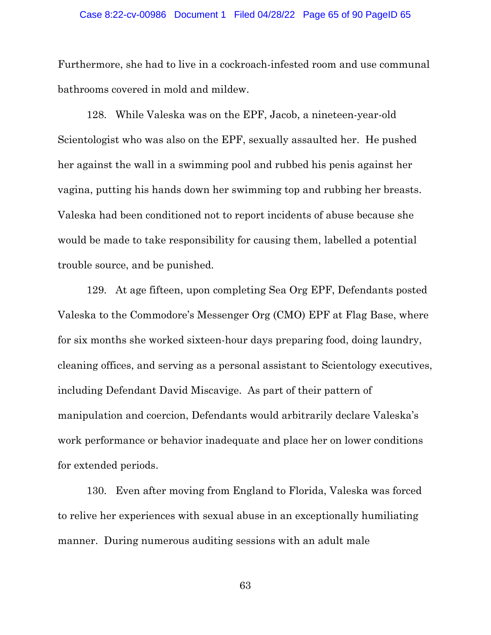### Case 8:22-cv-00986 Document 1 Filed 04/28/22 Page 65 of 90 PageID 65

Furthermore, she had to live in a cockroach-infested room and use communal bathrooms covered in mold and mildew.

128. While Valeska was on the EPF, Jacob, a nineteen-year-old Scientologist who was also on the EPF, sexually assaulted her. He pushed her against the wall in a swimming pool and rubbed his penis against her vagina, putting his hands down her swimming top and rubbing her breasts. Valeska had been conditioned not to report incidents of abuse because she would be made to take responsibility for causing them, labelled a potential trouble source, and be punished.

129. At age fifteen, upon completing Sea Org EPF, Defendants posted Valeska to the Commodore's Messenger Org (CMO) EPF at Flag Base, where for six months she worked sixteen-hour days preparing food, doing laundry, cleaning offices, and serving as a personal assistant to Scientology executives, including Defendant David Miscavige. As part of their pattern of manipulation and coercion, Defendants would arbitrarily declare Valeska's work performance or behavior inadequate and place her on lower conditions for extended periods.

130. Even after moving from England to Florida, Valeska was forced to relive her experiences with sexual abuse in an exceptionally humiliating manner. During numerous auditing sessions with an adult male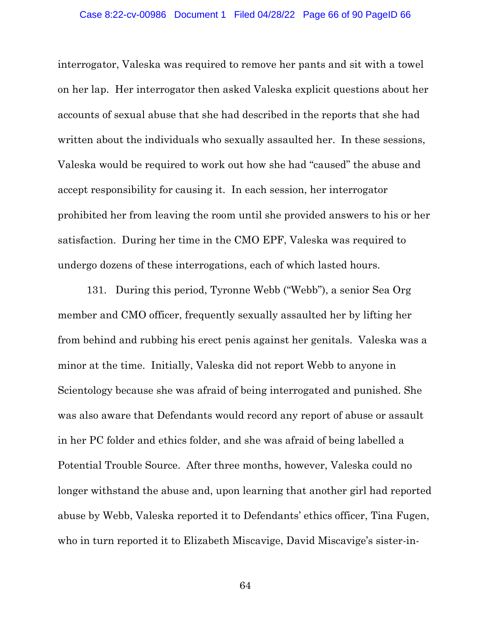### Case 8:22-cv-00986 Document 1 Filed 04/28/22 Page 66 of 90 PageID 66

interrogator, Valeska was required to remove her pants and sit with a towel on her lap. Her interrogator then asked Valeska explicit questions about her accounts of sexual abuse that she had described in the reports that she had written about the individuals who sexually assaulted her. In these sessions, Valeska would be required to work out how she had "caused" the abuse and accept responsibility for causing it. In each session, her interrogator prohibited her from leaving the room until she provided answers to his or her satisfaction. During her time in the CMO EPF, Valeska was required to undergo dozens of these interrogations, each of which lasted hours.

131. During this period, Tyronne Webb ("Webb"), a senior Sea Org member and CMO officer, frequently sexually assaulted her by lifting her from behind and rubbing his erect penis against her genitals. Valeska was a minor at the time. Initially, Valeska did not report Webb to anyone in Scientology because she was afraid of being interrogated and punished. She was also aware that Defendants would record any report of abuse or assault in her PC folder and ethics folder, and she was afraid of being labelled a Potential Trouble Source. After three months, however, Valeska could no longer withstand the abuse and, upon learning that another girl had reported abuse by Webb, Valeska reported it to Defendants' ethics officer, Tina Fugen, who in turn reported it to Elizabeth Miscavige, David Miscavige's sister-in-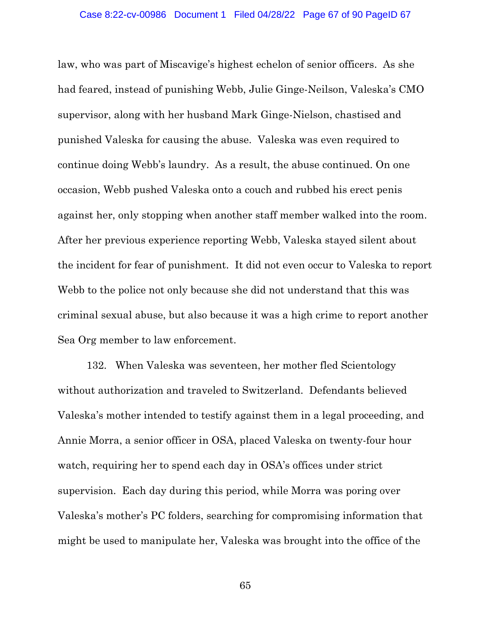law, who was part of Miscavige's highest echelon of senior officers. As she had feared, instead of punishing Webb, Julie Ginge-Neilson, Valeska's CMO supervisor, along with her husband Mark Ginge-Nielson, chastised and punished Valeska for causing the abuse. Valeska was even required to continue doing Webb's laundry. As a result, the abuse continued. On one occasion, Webb pushed Valeska onto a couch and rubbed his erect penis against her, only stopping when another staff member walked into the room. After her previous experience reporting Webb, Valeska stayed silent about the incident for fear of punishment. It did not even occur to Valeska to report Webb to the police not only because she did not understand that this was criminal sexual abuse, but also because it was a high crime to report another Sea Org member to law enforcement.

132. When Valeska was seventeen, her mother fled Scientology without authorization and traveled to Switzerland. Defendants believed Valeska's mother intended to testify against them in a legal proceeding, and Annie Morra, a senior officer in OSA, placed Valeska on twenty-four hour watch, requiring her to spend each day in OSA's offices under strict supervision. Each day during this period, while Morra was poring over Valeska's mother's PC folders, searching for compromising information that might be used to manipulate her, Valeska was brought into the office of the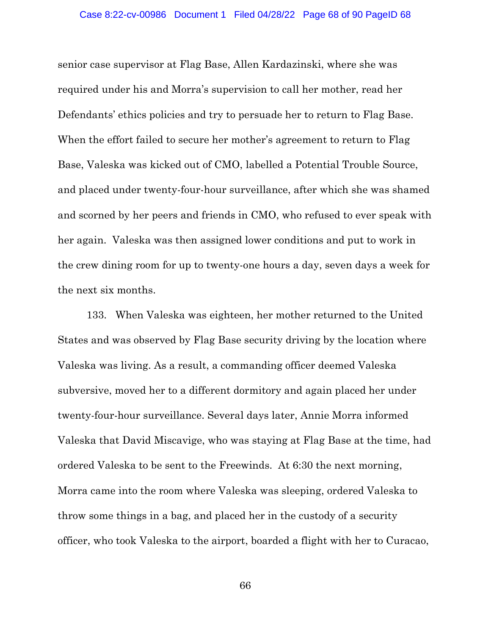senior case supervisor at Flag Base, Allen Kardazinski, where she was required under his and Morra's supervision to call her mother, read her Defendants' ethics policies and try to persuade her to return to Flag Base. When the effort failed to secure her mother's agreement to return to Flag Base, Valeska was kicked out of CMO, labelled a Potential Trouble Source, and placed under twenty-four-hour surveillance, after which she was shamed and scorned by her peers and friends in CMO, who refused to ever speak with her again. Valeska was then assigned lower conditions and put to work in the crew dining room for up to twenty-one hours a day, seven days a week for the next six months.

133. When Valeska was eighteen, her mother returned to the United States and was observed by Flag Base security driving by the location where Valeska was living. As a result, a commanding officer deemed Valeska subversive, moved her to a different dormitory and again placed her under twenty-four-hour surveillance. Several days later, Annie Morra informed Valeska that David Miscavige, who was staying at Flag Base at the time, had ordered Valeska to be sent to the Freewinds. At 6:30 the next morning, Morra came into the room where Valeska was sleeping, ordered Valeska to throw some things in a bag, and placed her in the custody of a security officer, who took Valeska to the airport, boarded a flight with her to Curacao,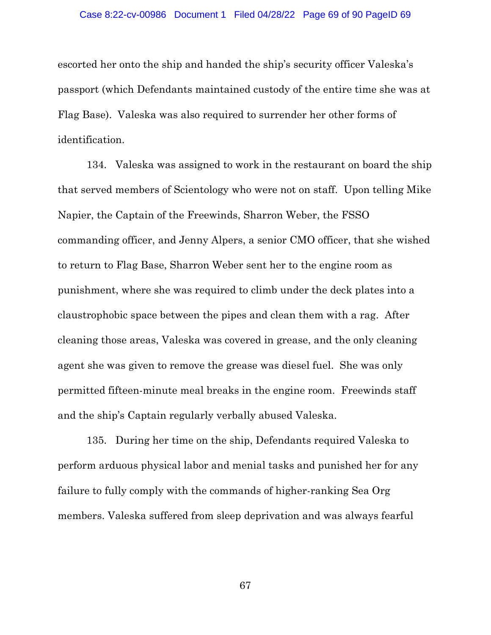### Case 8:22-cv-00986 Document 1 Filed 04/28/22 Page 69 of 90 PageID 69

escorted her onto the ship and handed the ship's security officer Valeska's passport (which Defendants maintained custody of the entire time she was at Flag Base). Valeska was also required to surrender her other forms of identification.

134. Valeska was assigned to work in the restaurant on board the ship that served members of Scientology who were not on staff. Upon telling Mike Napier, the Captain of the Freewinds, Sharron Weber, the FSSO commanding officer, and Jenny Alpers, a senior CMO officer, that she wished to return to Flag Base, Sharron Weber sent her to the engine room as punishment, where she was required to climb under the deck plates into a claustrophobic space between the pipes and clean them with a rag. After cleaning those areas, Valeska was covered in grease, and the only cleaning agent she was given to remove the grease was diesel fuel. She was only permitted fifteen-minute meal breaks in the engine room. Freewinds staff and the ship's Captain regularly verbally abused Valeska.

135. During her time on the ship, Defendants required Valeska to perform arduous physical labor and menial tasks and punished her for any failure to fully comply with the commands of higher-ranking Sea Org members. Valeska suffered from sleep deprivation and was always fearful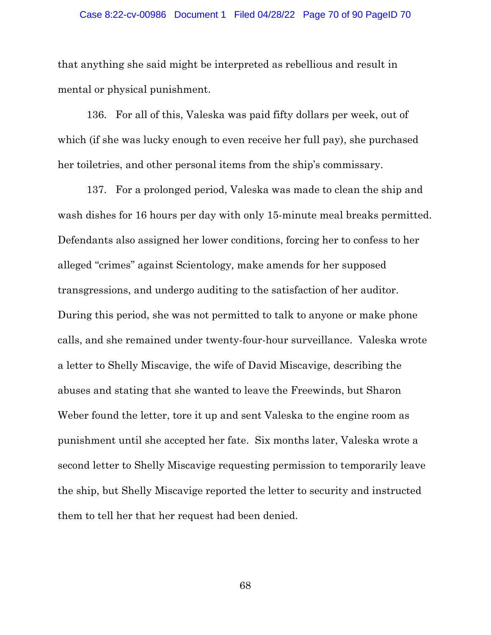### Case 8:22-cv-00986 Document 1 Filed 04/28/22 Page 70 of 90 PageID 70

that anything she said might be interpreted as rebellious and result in mental or physical punishment.

136. For all of this, Valeska was paid fifty dollars per week, out of which (if she was lucky enough to even receive her full pay), she purchased her toiletries, and other personal items from the ship's commissary.

137. For a prolonged period, Valeska was made to clean the ship and wash dishes for 16 hours per day with only 15-minute meal breaks permitted. Defendants also assigned her lower conditions, forcing her to confess to her alleged "crimes" against Scientology, make amends for her supposed transgressions, and undergo auditing to the satisfaction of her auditor. During this period, she was not permitted to talk to anyone or make phone calls, and she remained under twenty-four-hour surveillance. Valeska wrote a letter to Shelly Miscavige, the wife of David Miscavige, describing the abuses and stating that she wanted to leave the Freewinds, but Sharon Weber found the letter, tore it up and sent Valeska to the engine room as punishment until she accepted her fate. Six months later, Valeska wrote a second letter to Shelly Miscavige requesting permission to temporarily leave the ship, but Shelly Miscavige reported the letter to security and instructed them to tell her that her request had been denied.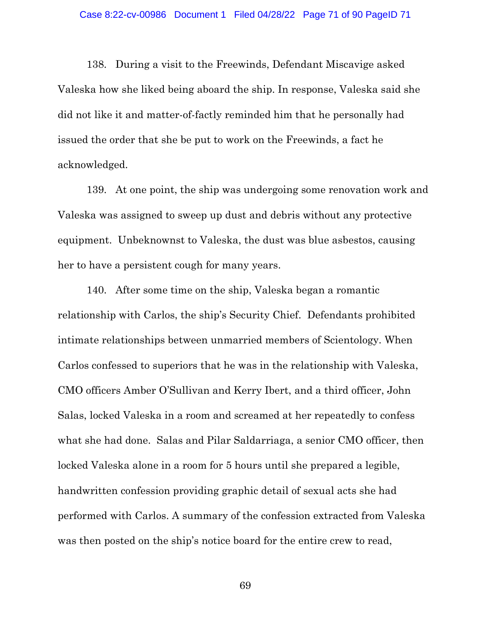138. During a visit to the Freewinds, Defendant Miscavige asked Valeska how she liked being aboard the ship. In response, Valeska said she did not like it and matter-of-factly reminded him that he personally had issued the order that she be put to work on the Freewinds, a fact he acknowledged.

139. At one point, the ship was undergoing some renovation work and Valeska was assigned to sweep up dust and debris without any protective equipment. Unbeknownst to Valeska, the dust was blue asbestos, causing her to have a persistent cough for many years.

140. After some time on the ship, Valeska began a romantic relationship with Carlos, the ship's Security Chief. Defendants prohibited intimate relationships between unmarried members of Scientology. When Carlos confessed to superiors that he was in the relationship with Valeska, CMO officers Amber O'Sullivan and Kerry Ibert, and a third officer, John Salas, locked Valeska in a room and screamed at her repeatedly to confess what she had done. Salas and Pilar Saldarriaga, a senior CMO officer, then locked Valeska alone in a room for 5 hours until she prepared a legible, handwritten confession providing graphic detail of sexual acts she had performed with Carlos. A summary of the confession extracted from Valeska was then posted on the ship's notice board for the entire crew to read,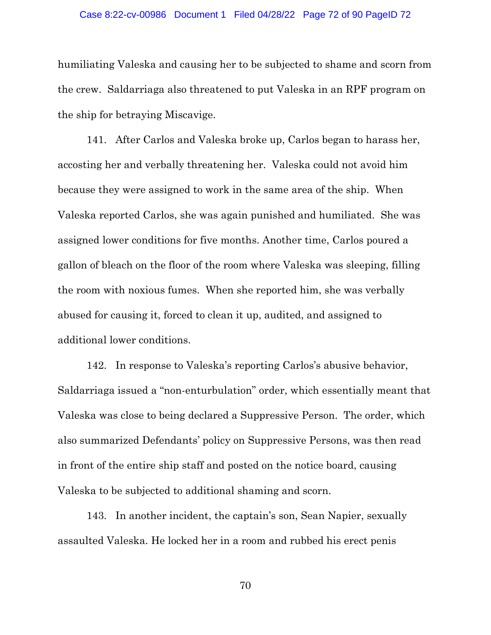#### Case 8:22-cv-00986 Document 1 Filed 04/28/22 Page 72 of 90 PageID 72

humiliating Valeska and causing her to be subjected to shame and scorn from the crew. Saldarriaga also threatened to put Valeska in an RPF program on the ship for betraying Miscavige.

141. After Carlos and Valeska broke up, Carlos began to harass her, accosting her and verbally threatening her. Valeska could not avoid him because they were assigned to work in the same area of the ship. When Valeska reported Carlos, she was again punished and humiliated. She was assigned lower conditions for five months. Another time, Carlos poured a gallon of bleach on the floor of the room where Valeska was sleeping, filling the room with noxious fumes. When she reported him, she was verbally abused for causing it, forced to clean it up, audited, and assigned to additional lower conditions.

142. In response to Valeska's reporting Carlos's abusive behavior, Saldarriaga issued a "non-enturbulation" order, which essentially meant that Valeska was close to being declared a Suppressive Person. The order, which also summarized Defendants' policy on Suppressive Persons, was then read in front of the entire ship staff and posted on the notice board, causing Valeska to be subjected to additional shaming and scorn.

143. In another incident, the captain's son, Sean Napier, sexually assaulted Valeska. He locked her in a room and rubbed his erect penis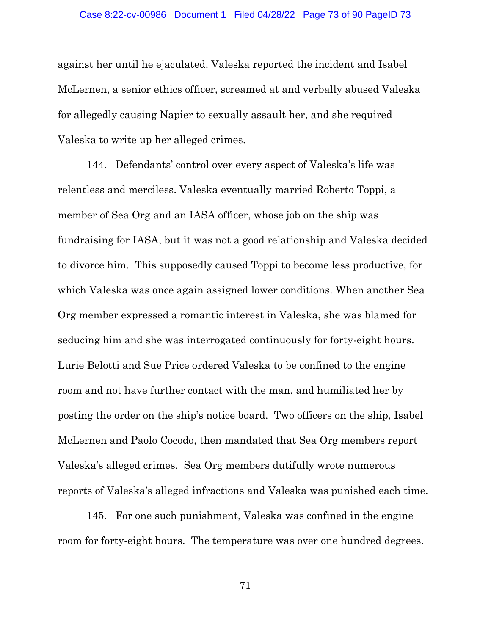#### Case 8:22-cv-00986 Document 1 Filed 04/28/22 Page 73 of 90 PageID 73

against her until he ejaculated. Valeska reported the incident and Isabel McLernen, a senior ethics officer, screamed at and verbally abused Valeska for allegedly causing Napier to sexually assault her, and she required Valeska to write up her alleged crimes.

144. Defendants' control over every aspect of Valeska's life was relentless and merciless. Valeska eventually married Roberto Toppi, a member of Sea Org and an IASA officer, whose job on the ship was fundraising for IASA, but it was not a good relationship and Valeska decided to divorce him. This supposedly caused Toppi to become less productive, for which Valeska was once again assigned lower conditions. When another Sea Org member expressed a romantic interest in Valeska, she was blamed for seducing him and she was interrogated continuously for forty-eight hours. Lurie Belotti and Sue Price ordered Valeska to be confined to the engine room and not have further contact with the man, and humiliated her by posting the order on the ship's notice board. Two officers on the ship, Isabel McLernen and Paolo Cocodo, then mandated that Sea Org members report Valeska's alleged crimes. Sea Org members dutifully wrote numerous reports of Valeska's alleged infractions and Valeska was punished each time.

145. For one such punishment, Valeska was confined in the engine room for forty-eight hours. The temperature was over one hundred degrees.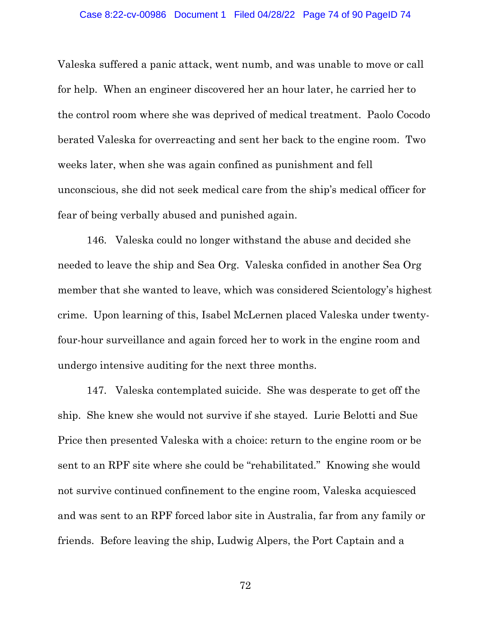#### Case 8:22-cv-00986 Document 1 Filed 04/28/22 Page 74 of 90 PageID 74

Valeska suffered a panic attack, went numb, and was unable to move or call for help. When an engineer discovered her an hour later, he carried her to the control room where she was deprived of medical treatment. Paolo Cocodo berated Valeska for overreacting and sent her back to the engine room. Two weeks later, when she was again confined as punishment and fell unconscious, she did not seek medical care from the ship's medical officer for fear of being verbally abused and punished again.

146. Valeska could no longer withstand the abuse and decided she needed to leave the ship and Sea Org. Valeska confided in another Sea Org member that she wanted to leave, which was considered Scientology's highest crime. Upon learning of this, Isabel McLernen placed Valeska under twentyfour-hour surveillance and again forced her to work in the engine room and undergo intensive auditing for the next three months.

147. Valeska contemplated suicide. She was desperate to get off the ship. She knew she would not survive if she stayed. Lurie Belotti and Sue Price then presented Valeska with a choice: return to the engine room or be sent to an RPF site where she could be "rehabilitated." Knowing she would not survive continued confinement to the engine room, Valeska acquiesced and was sent to an RPF forced labor site in Australia, far from any family or friends. Before leaving the ship, Ludwig Alpers, the Port Captain and a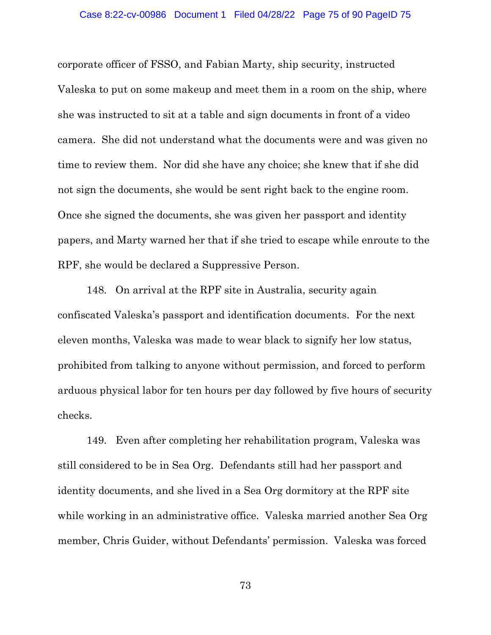corporate officer of FSSO, and Fabian Marty, ship security, instructed Valeska to put on some makeup and meet them in a room on the ship, where she was instructed to sit at a table and sign documents in front of a video camera. She did not understand what the documents were and was given no time to review them. Nor did she have any choice; she knew that if she did not sign the documents, she would be sent right back to the engine room. Once she signed the documents, she was given her passport and identity papers, and Marty warned her that if she tried to escape while enroute to the RPF, she would be declared a Suppressive Person.

148. On arrival at the RPF site in Australia, security again confiscated Valeska's passport and identification documents. For the next eleven months, Valeska was made to wear black to signify her low status, prohibited from talking to anyone without permission, and forced to perform arduous physical labor for ten hours per day followed by five hours of security checks.

149. Even after completing her rehabilitation program, Valeska was still considered to be in Sea Org. Defendants still had her passport and identity documents, and she lived in a Sea Org dormitory at the RPF site while working in an administrative office. Valeska married another Sea Org member, Chris Guider, without Defendants' permission. Valeska was forced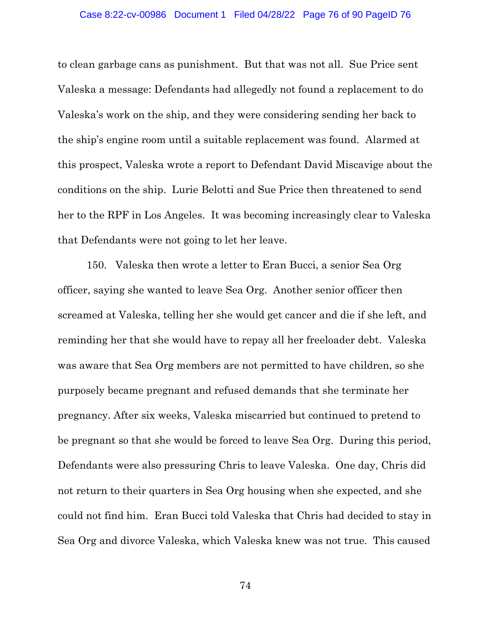to clean garbage cans as punishment. But that was not all. Sue Price sent Valeska a message: Defendants had allegedly not found a replacement to do Valeska's work on the ship, and they were considering sending her back to the ship's engine room until a suitable replacement was found. Alarmed at this prospect, Valeska wrote a report to Defendant David Miscavige about the conditions on the ship. Lurie Belotti and Sue Price then threatened to send her to the RPF in Los Angeles. It was becoming increasingly clear to Valeska that Defendants were not going to let her leave.

150. Valeska then wrote a letter to Eran Bucci, a senior Sea Org officer, saying she wanted to leave Sea Org. Another senior officer then screamed at Valeska, telling her she would get cancer and die if she left, and reminding her that she would have to repay all her freeloader debt. Valeska was aware that Sea Org members are not permitted to have children, so she purposely became pregnant and refused demands that she terminate her pregnancy. After six weeks, Valeska miscarried but continued to pretend to be pregnant so that she would be forced to leave Sea Org. During this period, Defendants were also pressuring Chris to leave Valeska. One day, Chris did not return to their quarters in Sea Org housing when she expected, and she could not find him. Eran Bucci told Valeska that Chris had decided to stay in Sea Org and divorce Valeska, which Valeska knew was not true. This caused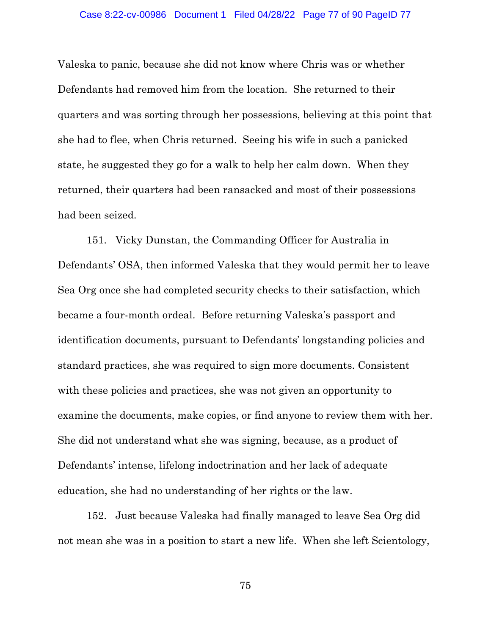#### Case 8:22-cv-00986 Document 1 Filed 04/28/22 Page 77 of 90 PageID 77

Valeska to panic, because she did not know where Chris was or whether Defendants had removed him from the location. She returned to their quarters and was sorting through her possessions, believing at this point that she had to flee, when Chris returned. Seeing his wife in such a panicked state, he suggested they go for a walk to help her calm down. When they returned, their quarters had been ransacked and most of their possessions had been seized.

151. Vicky Dunstan, the Commanding Officer for Australia in Defendants' OSA, then informed Valeska that they would permit her to leave Sea Org once she had completed security checks to their satisfaction, which became a four-month ordeal. Before returning Valeska's passport and identification documents, pursuant to Defendants' longstanding policies and standard practices, she was required to sign more documents. Consistent with these policies and practices, she was not given an opportunity to examine the documents, make copies, or find anyone to review them with her. She did not understand what she was signing, because, as a product of Defendants' intense, lifelong indoctrination and her lack of adequate education, she had no understanding of her rights or the law.

152. Just because Valeska had finally managed to leave Sea Org did not mean she was in a position to start a new life. When she left Scientology,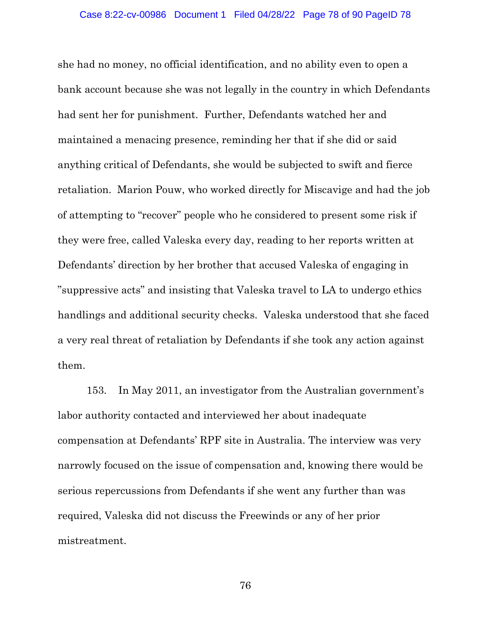she had no money, no official identification, and no ability even to open a bank account because she was not legally in the country in which Defendants had sent her for punishment. Further, Defendants watched her and maintained a menacing presence, reminding her that if she did or said anything critical of Defendants, she would be subjected to swift and fierce retaliation. Marion Pouw, who worked directly for Miscavige and had the job of attempting to "recover" people who he considered to present some risk if they were free, called Valeska every day, reading to her reports written at Defendants' direction by her brother that accused Valeska of engaging in "suppressive acts" and insisting that Valeska travel to LA to undergo ethics handlings and additional security checks. Valeska understood that she faced a very real threat of retaliation by Defendants if she took any action against them.

153. In May 2011, an investigator from the Australian government's labor authority contacted and interviewed her about inadequate compensation at Defendants' RPF site in Australia. The interview was very narrowly focused on the issue of compensation and, knowing there would be serious repercussions from Defendants if she went any further than was required, Valeska did not discuss the Freewinds or any of her prior mistreatment.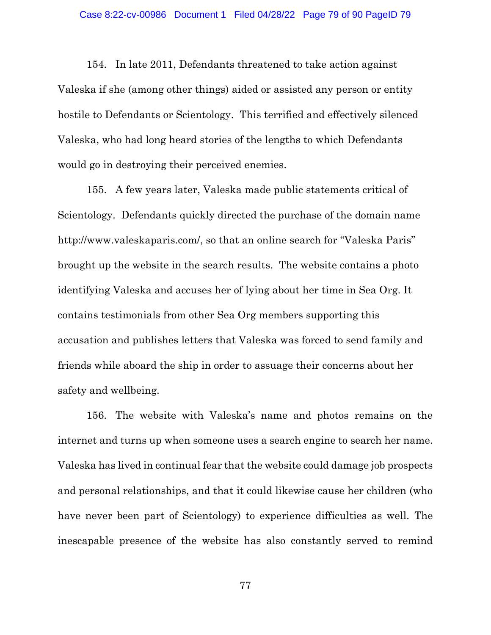154. In late 2011, Defendants threatened to take action against Valeska if she (among other things) aided or assisted any person or entity hostile to Defendants or Scientology. This terrified and effectively silenced Valeska, who had long heard stories of the lengths to which Defendants would go in destroying their perceived enemies.

155. A few years later, Valeska made public statements critical of Scientology. Defendants quickly directed the purchase of the domain name http://www.valeskaparis.com/, so that an online search for "Valeska Paris" brought up the website in the search results. The website contains a photo identifying Valeska and accuses her of lying about her time in Sea Org. It contains testimonials from other Sea Org members supporting this accusation and publishes letters that Valeska was forced to send family and friends while aboard the ship in order to assuage their concerns about her safety and wellbeing.

156. The website with Valeska's name and photos remains on the internet and turns up when someone uses a search engine to search her name. Valeska has lived in continual fear that the website could damage job prospects and personal relationships, and that it could likewise cause her children (who have never been part of Scientology) to experience difficulties as well. The inescapable presence of the website has also constantly served to remind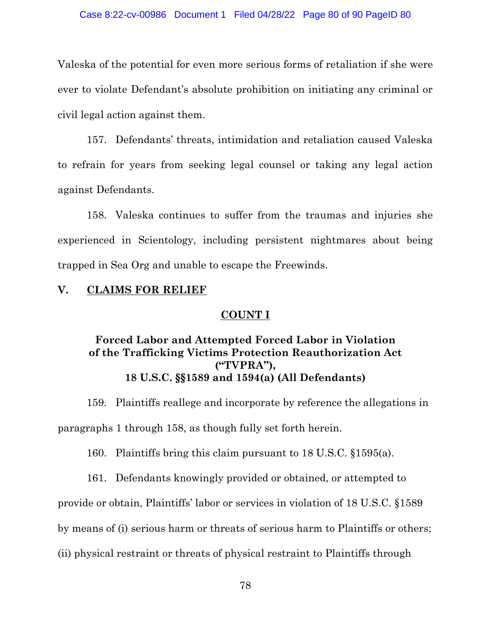#### Case 8:22-cv-00986 Document 1 Filed 04/28/22 Page 80 of 90 PageID 80

Valeska of the potential for even more serious forms of retaliation if she were ever to violate Defendant's absolute prohibition on initiating any criminal or civil legal action against them.

157. Defendants' threats, intimidation and retaliation caused Valeska to refrain for years from seeking legal counsel or taking any legal action against Defendants.

158. Valeska continues to suffer from the traumas and injuries she experienced in Scientology, including persistent nightmares about being trapped in Sea Org and unable to escape the Freewinds.

## **V. CLAIMS FOR RELIEF**

### **COUNT I**

# **Forced Labor and Attempted Forced Labor in Violation of the Trafficking Victims Protection Reauthorization Act ("TVPRA"), 18 U.S.C. §§1589 and 1594(a) (All Defendants)**

159. Plaintiffs reallege and incorporate by reference the allegations in paragraphs 1 through 158, as though fully set forth herein.

160. Plaintiffs bring this claim pursuant to 18 U.S.C. §1595(a).

161. Defendants knowingly provided or obtained, or attempted to

provide or obtain, Plaintiffs' labor or services in violation of 18 U.S.C. §1589

by means of (i) serious harm or threats of serious harm to Plaintiffs or others;

(ii) physical restraint or threats of physical restraint to Plaintiffs through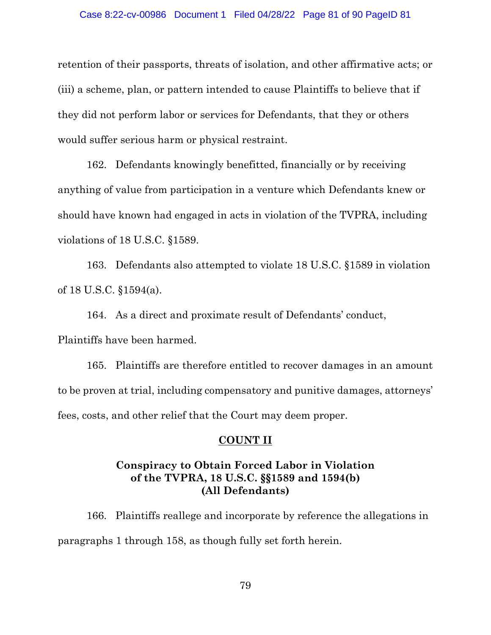#### Case 8:22-cv-00986 Document 1 Filed 04/28/22 Page 81 of 90 PageID 81

retention of their passports, threats of isolation, and other affirmative acts; or (iii) a scheme, plan, or pattern intended to cause Plaintiffs to believe that if they did not perform labor or services for Defendants, that they or others would suffer serious harm or physical restraint.

162. Defendants knowingly benefitted, financially or by receiving anything of value from participation in a venture which Defendants knew or should have known had engaged in acts in violation of the TVPRA, including violations of 18 U.S.C. §1589.

163. Defendants also attempted to violate 18 U.S.C. §1589 in violation of 18 U.S.C. §1594(a).

164. As a direct and proximate result of Defendants' conduct, Plaintiffs have been harmed.

165. Plaintiffs are therefore entitled to recover damages in an amount to be proven at trial, including compensatory and punitive damages, attorneys' fees, costs, and other relief that the Court may deem proper.

### **COUNT II**

# **Conspiracy to Obtain Forced Labor in Violation of the TVPRA, 18 U.S.C. §§1589 and 1594(b) (All Defendants)**

166. Plaintiffs reallege and incorporate by reference the allegations in paragraphs 1 through 158, as though fully set forth herein.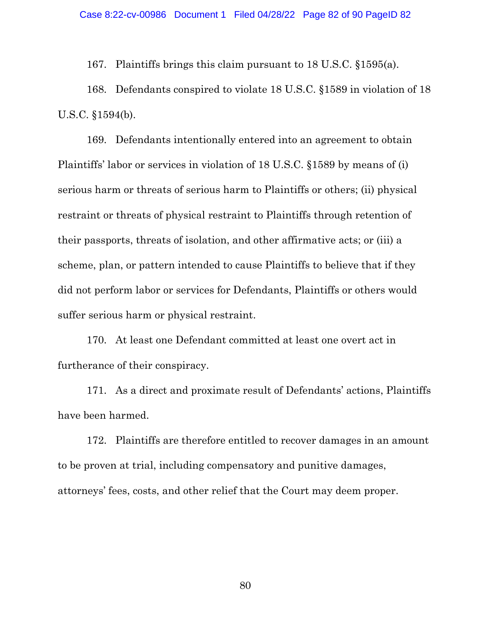167. Plaintiffs brings this claim pursuant to 18 U.S.C. §1595(a).

168. Defendants conspired to violate 18 U.S.C. §1589 in violation of 18 U.S.C. §1594(b).

169. Defendants intentionally entered into an agreement to obtain Plaintiffs' labor or services in violation of 18 U.S.C. §1589 by means of (i) serious harm or threats of serious harm to Plaintiffs or others; (ii) physical restraint or threats of physical restraint to Plaintiffs through retention of their passports, threats of isolation, and other affirmative acts; or (iii) a scheme, plan, or pattern intended to cause Plaintiffs to believe that if they did not perform labor or services for Defendants, Plaintiffs or others would suffer serious harm or physical restraint.

170. At least one Defendant committed at least one overt act in furtherance of their conspiracy.

171. As a direct and proximate result of Defendants' actions, Plaintiffs have been harmed.

172. Plaintiffs are therefore entitled to recover damages in an amount to be proven at trial, including compensatory and punitive damages, attorneys' fees, costs, and other relief that the Court may deem proper.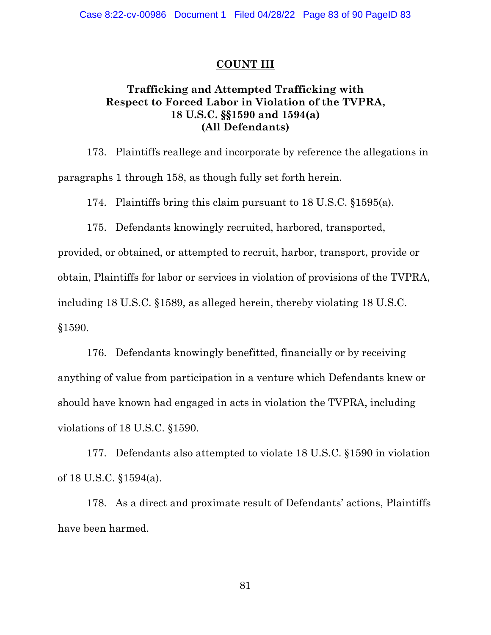## **COUNT III**

# **Trafficking and Attempted Trafficking with Respect to Forced Labor in Violation of the TVPRA, 18 U.S.C. §§1590 and 1594(a) (All Defendants)**

173. Plaintiffs reallege and incorporate by reference the allegations in paragraphs 1 through 158, as though fully set forth herein.

174. Plaintiffs bring this claim pursuant to 18 U.S.C. §1595(a).

175. Defendants knowingly recruited, harbored, transported,

provided, or obtained, or attempted to recruit, harbor, transport, provide or obtain, Plaintiffs for labor or services in violation of provisions of the TVPRA, including 18 U.S.C. §1589, as alleged herein, thereby violating 18 U.S.C. §1590.

176. Defendants knowingly benefitted, financially or by receiving anything of value from participation in a venture which Defendants knew or should have known had engaged in acts in violation the TVPRA, including violations of 18 U.S.C. §1590.

177. Defendants also attempted to violate 18 U.S.C. §1590 in violation of 18 U.S.C. §1594(a).

178. As a direct and proximate result of Defendants' actions, Plaintiffs have been harmed.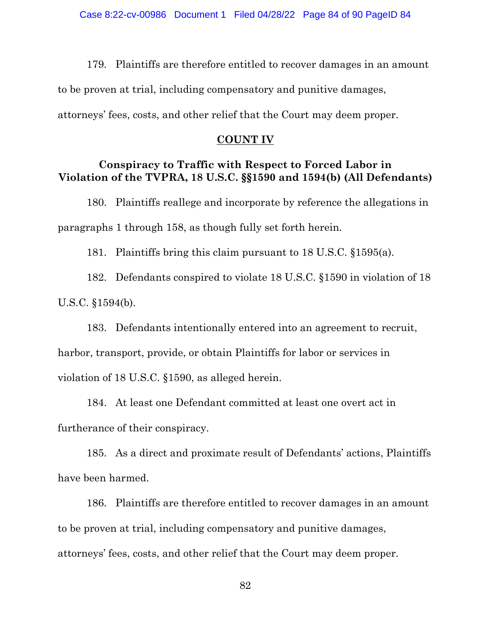179. Plaintiffs are therefore entitled to recover damages in an amount to be proven at trial, including compensatory and punitive damages, attorneys' fees, costs, and other relief that the Court may deem proper.

### **COUNT IV**

# **Conspiracy to Traffic with Respect to Forced Labor in Violation of the TVPRA, 18 U.S.C. §§1590 and 1594(b) (All Defendants)**

180. Plaintiffs reallege and incorporate by reference the allegations in paragraphs 1 through 158, as though fully set forth herein.

181. Plaintiffs bring this claim pursuant to 18 U.S.C. §1595(a).

182. Defendants conspired to violate 18 U.S.C. §1590 in violation of 18 U.S.C. §1594(b).

183. Defendants intentionally entered into an agreement to recruit, harbor, transport, provide, or obtain Plaintiffs for labor or services in violation of 18 U.S.C. §1590, as alleged herein.

184. At least one Defendant committed at least one overt act in furtherance of their conspiracy.

185. As a direct and proximate result of Defendants' actions, Plaintiffs have been harmed.

186. Plaintiffs are therefore entitled to recover damages in an amount to be proven at trial, including compensatory and punitive damages, attorneys' fees, costs, and other relief that the Court may deem proper.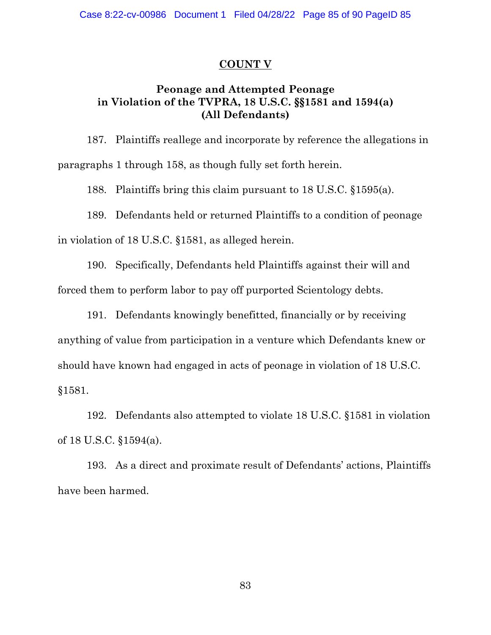## **COUNT V**

# **Peonage and Attempted Peonage in Violation of the TVPRA, 18 U.S.C. §§1581 and 1594(a) (All Defendants)**

187. Plaintiffs reallege and incorporate by reference the allegations in paragraphs 1 through 158, as though fully set forth herein.

188. Plaintiffs bring this claim pursuant to 18 U.S.C. §1595(a).

189. Defendants held or returned Plaintiffs to a condition of peonage

in violation of 18 U.S.C. §1581, as alleged herein.

190. Specifically, Defendants held Plaintiffs against their will and forced them to perform labor to pay off purported Scientology debts.

191. Defendants knowingly benefitted, financially or by receiving anything of value from participation in a venture which Defendants knew or should have known had engaged in acts of peonage in violation of 18 U.S.C. §1581.

192. Defendants also attempted to violate 18 U.S.C. §1581 in violation of 18 U.S.C. §1594(a).

193. As a direct and proximate result of Defendants' actions, Plaintiffs have been harmed.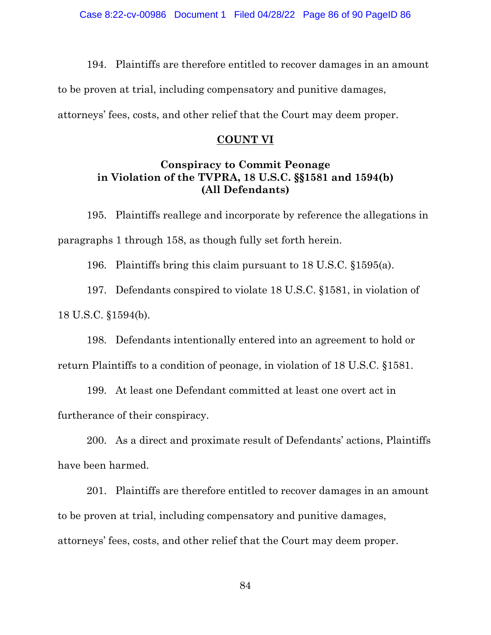194. Plaintiffs are therefore entitled to recover damages in an amount

to be proven at trial, including compensatory and punitive damages,

attorneys' fees, costs, and other relief that the Court may deem proper.

### **COUNT VI**

## **Conspiracy to Commit Peonage in Violation of the TVPRA, 18 U.S.C. §§1581 and 1594(b) (All Defendants)**

195. Plaintiffs reallege and incorporate by reference the allegations in paragraphs 1 through 158, as though fully set forth herein.

196. Plaintiffs bring this claim pursuant to 18 U.S.C. §1595(a).

197. Defendants conspired to violate 18 U.S.C. §1581, in violation of 18 U.S.C. §1594(b).

198. Defendants intentionally entered into an agreement to hold or return Plaintiffs to a condition of peonage, in violation of 18 U.S.C. §1581.

199. At least one Defendant committed at least one overt act in furtherance of their conspiracy.

200. As a direct and proximate result of Defendants' actions, Plaintiffs have been harmed.

201. Plaintiffs are therefore entitled to recover damages in an amount to be proven at trial, including compensatory and punitive damages, attorneys' fees, costs, and other relief that the Court may deem proper.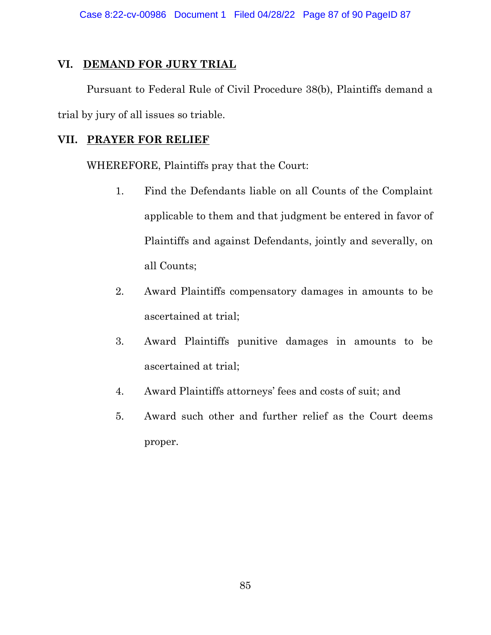## **VI. DEMAND FOR JURY TRIAL**

Pursuant to Federal Rule of Civil Procedure 38(b), Plaintiffs demand a trial by jury of all issues so triable.

## **VII. PRAYER FOR RELIEF**

WHEREFORE, Plaintiffs pray that the Court:

- 1. Find the Defendants liable on all Counts of the Complaint applicable to them and that judgment be entered in favor of Plaintiffs and against Defendants, jointly and severally, on all Counts;
- 2. Award Plaintiffs compensatory damages in amounts to be ascertained at trial;
- 3. Award Plaintiffs punitive damages in amounts to be ascertained at trial;
- 4. Award Plaintiffs attorneys' fees and costs of suit; and
- 5. Award such other and further relief as the Court deems proper.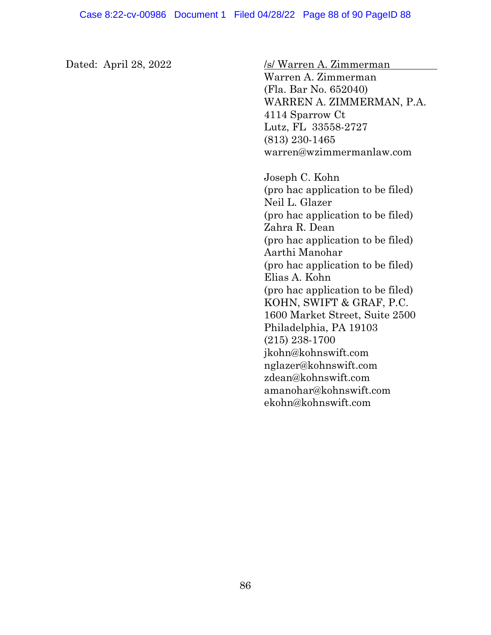Dated: April 28, 2022 /s/ Warren A. Zimmerman

Warren A. Zimmerman (Fla. Bar No. 652040) WARREN A. ZIMMERMAN, P.A. 4114 Sparrow Ct Lutz, FL 33558-2727 (813) 230-1465 warren@wzimmermanlaw.com

Joseph C. Kohn (pro hac application to be filed) Neil L. Glazer (pro hac application to be filed) Zahra R. Dean (pro hac application to be filed) Aarthi Manohar (pro hac application to be filed) Elias A. Kohn (pro hac application to be filed) KOHN, SWIFT & GRAF, P.C. 1600 Market Street, Suite 2500 Philadelphia, PA 19103 (215) 238-1700 jkohn@kohnswift.com nglazer@kohnswift.com zdean@kohnswift.com amanohar@kohnswift.com ekohn@kohnswift.com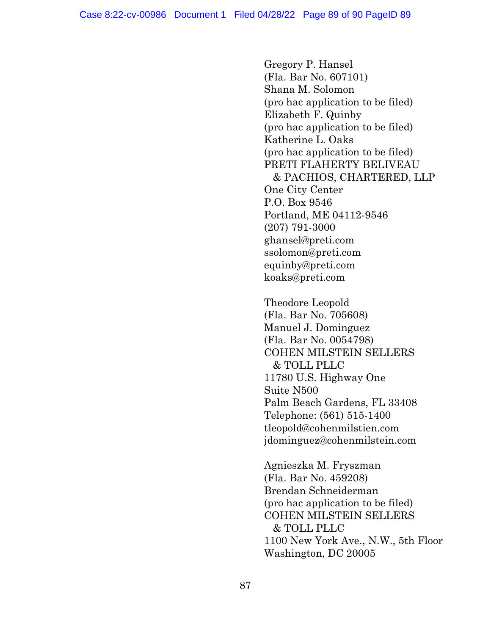Gregory P. Hansel (Fla. Bar No. 607101) Shana M. Solomon (pro hac application to be filed) Elizabeth F. Quinby (pro hac application to be filed) Katherine L. Oaks (pro hac application to be filed) PRETI FLAHERTY BELIVEAU & PACHIOS, CHARTERED, LLP One City Center P.O. Box 9546 Portland, ME 04112-9546 (207) 791-3000 ghansel@preti.com ssolomon@preti.com equinby@preti.com koaks@preti.com

Theodore Leopold (Fla. Bar No. 705608) Manuel J. Dominguez (Fla. Bar No. 0054798) COHEN MILSTEIN SELLERS & TOLL PLLC 11780 U.S. Highway One Suite N500 Palm Beach Gardens, FL 33408 Telephone: (561) 515-1400 tleopold@cohenmilstien.com [jdominguez@cohenmilstein.com](mailto:jdominguez@cohenmilstein.com)

Agnieszka M. Fryszman (Fla. Bar No. 459208) Brendan Schneiderman (pro hac application to be filed) COHEN MILSTEIN SELLERS & TOLL PLLC 1100 New York Ave., N.W., 5th Floor Washington, DC 20005